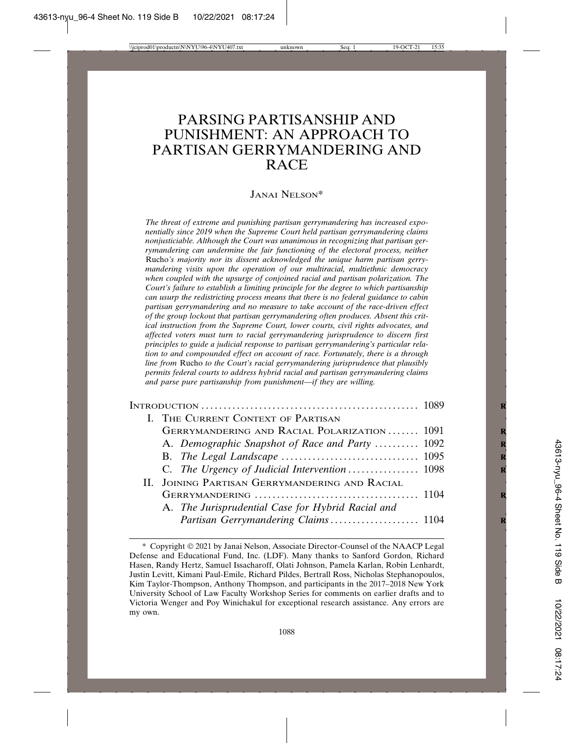# PARSING PARTISANSHIP AND PUNISHMENT: AN APPROACH TO PARTISAN GERRYMANDERING AND **RACE**

### JANAI NELSON\*

*The threat of extreme and punishing partisan gerrymandering has increased exponentially since 2019 when the Supreme Court held partisan gerrymandering claims nonjusticiable. Although the Court was unanimous in recognizing that partisan gerrymandering can undermine the fair functioning of the electoral process, neither* Rucho*'s majority nor its dissent acknowledged the unique harm partisan gerrymandering visits upon the operation of our multiracial, multiethnic democracy when coupled with the upsurge of conjoined racial and partisan polarization. The Court's failure to establish a limiting principle for the degree to which partisanship can usurp the redistricting process means that there is no federal guidance to cabin partisan gerrymandering and no measure to take account of the race-driven effect of the group lockout that partisan gerrymandering often produces. Absent this critical instruction from the Supreme Court, lower courts, civil rights advocates, and affected voters must turn to racial gerrymandering jurisprudence to discern first principles to guide a judicial response to partisan gerrymandering's particular relation to and compounded effect on account of race. Fortunately, there is a through line from* Rucho *to the Court's racial gerrymandering jurisprudence that plausibly permits federal courts to address hybrid racial and partisan gerrymandering claims and parse pure partisanship from punishment—if they are willing.* 

| I. THE CURRENT CONTEXT OF PARTISAN                |  |
|---------------------------------------------------|--|
| GERRYMANDERING AND RACIAL POLARIZATION  1091      |  |
| A. Demographic Snapshot of Race and Party  1092   |  |
|                                                   |  |
|                                                   |  |
| II. JOINING PARTISAN GERRYMANDERING AND RACIAL    |  |
|                                                   |  |
| A. The Jurisprudential Case for Hybrid Racial and |  |
| Partisan Gerrymandering Claims 1104               |  |

<sup>\*</sup> Copyright © 2021 by Janai Nelson, Associate Director-Counsel of the NAACP Legal Defense and Educational Fund, Inc. (LDF). Many thanks to Sanford Gordon, Richard Hasen, Randy Hertz, Samuel Issacharoff, Olati Johnson, Pamela Karlan, Robin Lenhardt, Justin Levitt, Kimani Paul-Emile, Richard Pildes, Bertrall Ross, Nicholas Stephanopoulos, Kim Taylor-Thompson, Anthony Thompson, and participants in the 2017–2018 New York University School of Law Faculty Workshop Series for comments on earlier drafts and to Victoria Wenger and Poy Winichakul for exceptional research assistance. Any errors are my own.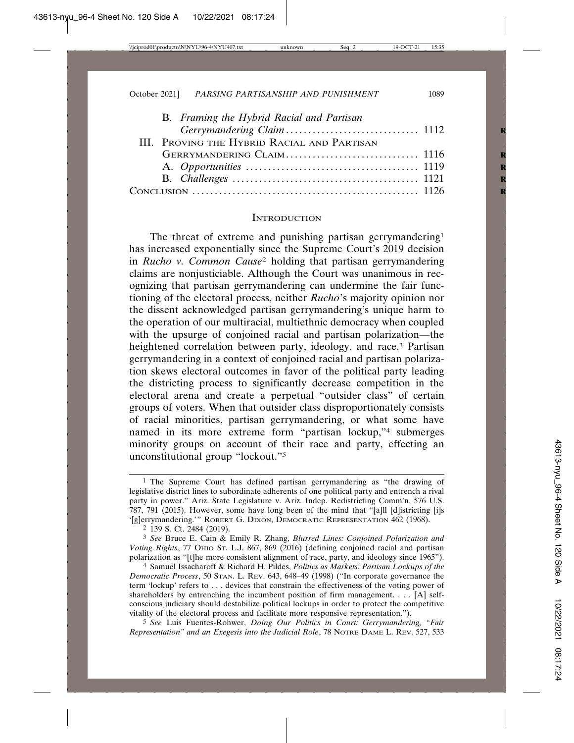| B. Framing the Hybrid Racial and Partisan   |  |
|---------------------------------------------|--|
|                                             |  |
| III. PROVING THE HYBRID RACIAL AND PARTISAN |  |
|                                             |  |
|                                             |  |
|                                             |  |
|                                             |  |

#### **INTRODUCTION**

The threat of extreme and punishing partisan gerrymandering1 has increased exponentially since the Supreme Court's 2019 decision in *Rucho v. Common Cause*2 holding that partisan gerrymandering claims are nonjusticiable. Although the Court was unanimous in recognizing that partisan gerrymandering can undermine the fair functioning of the electoral process, neither *Rucho*'s majority opinion nor the dissent acknowledged partisan gerrymandering's unique harm to the operation of our multiracial, multiethnic democracy when coupled with the upsurge of conjoined racial and partisan polarization—the heightened correlation between party, ideology, and race.<sup>3</sup> Partisan gerrymandering in a context of conjoined racial and partisan polarization skews electoral outcomes in favor of the political party leading the districting process to significantly decrease competition in the electoral arena and create a perpetual "outsider class" of certain groups of voters. When that outsider class disproportionately consists of racial minorities, partisan gerrymandering, or what some have named in its more extreme form "partisan lockup,"4 submerges minority groups on account of their race and party, effecting an unconstitutional group "lockout."5

2 139 S. Ct. 2484 (2019).

3 *See* Bruce E. Cain & Emily R. Zhang, *Blurred Lines: Conjoined Polarization and Voting Rights*, 77 OHIO ST. L.J. 867, 869 (2016) (defining conjoined racial and partisan polarization as "[t]he more consistent alignment of race, party, and ideology since 1965").

4 Samuel Issacharoff & Richard H. Pildes, *Politics as Markets: Partisan Lockups of the Democratic Process*, 50 STAN. L. REV. 643, 648–49 (1998) ("In corporate governance the term 'lockup' refers to . . . devices that constrain the effectiveness of the voting power of shareholders by entrenching the incumbent position of firm management. . . . [A] selfconscious judiciary should destabilize political lockups in order to protect the competitive vitality of the electoral process and facilitate more responsive representation.").

5 *See* Luis Fuentes-Rohwer, *Doing Our Politics in Court: Gerrymandering, "Fair Representation" and an Exegesis into the Judicial Role*, 78 NOTRE DAME L. REV. 527, 533

<sup>1</sup> The Supreme Court has defined partisan gerrymandering as "the drawing of legislative district lines to subordinate adherents of one political party and entrench a rival party in power." Ariz. State Legislature v. Ariz. Indep. Redistricting Comm'n, 576 U.S. 787, 791 (2015). However, some have long been of the mind that "[a]ll [d]istricting [i]s '[g]errymandering.'" ROBERT G. DIXON, DEMOCRATIC REPRESENTATION 462 (1968).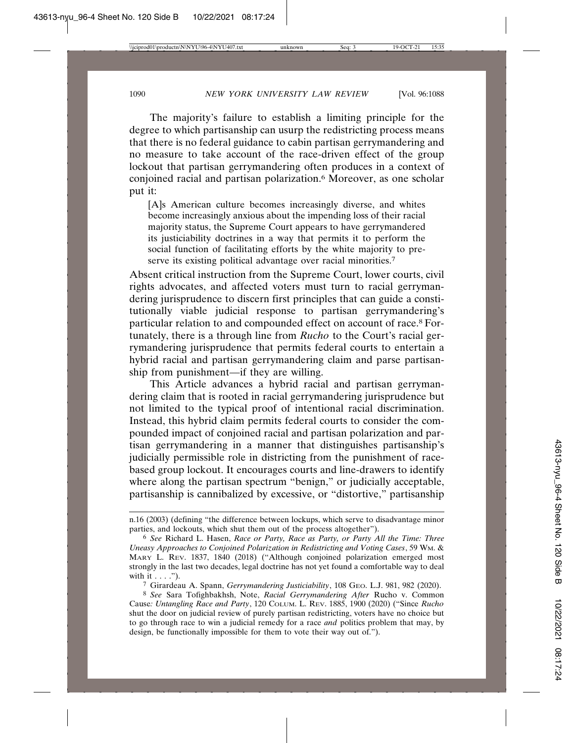The majority's failure to establish a limiting principle for the degree to which partisanship can usurp the redistricting process means that there is no federal guidance to cabin partisan gerrymandering and no measure to take account of the race-driven effect of the group lockout that partisan gerrymandering often produces in a context of conjoined racial and partisan polarization.<sup>6</sup> Moreover, as one scholar put it:

[A]s American culture becomes increasingly diverse, and whites become increasingly anxious about the impending loss of their racial majority status, the Supreme Court appears to have gerrymandered its justiciability doctrines in a way that permits it to perform the social function of facilitating efforts by the white majority to preserve its existing political advantage over racial minorities.<sup>7</sup>

Absent critical instruction from the Supreme Court, lower courts, civil rights advocates, and affected voters must turn to racial gerrymandering jurisprudence to discern first principles that can guide a constitutionally viable judicial response to partisan gerrymandering's particular relation to and compounded effect on account of race.8 Fortunately, there is a through line from *Rucho* to the Court's racial gerrymandering jurisprudence that permits federal courts to entertain a hybrid racial and partisan gerrymandering claim and parse partisanship from punishment—if they are willing.

This Article advances a hybrid racial and partisan gerrymandering claim that is rooted in racial gerrymandering jurisprudence but not limited to the typical proof of intentional racial discrimination. Instead, this hybrid claim permits federal courts to consider the compounded impact of conjoined racial and partisan polarization and partisan gerrymandering in a manner that distinguishes partisanship's judicially permissible role in districting from the punishment of racebased group lockout. It encourages courts and line-drawers to identify where along the partisan spectrum "benign," or judicially acceptable, partisanship is cannibalized by excessive, or "distortive," partisanship

7 Girardeau A. Spann, *Gerrymandering Justiciability*, 108 GEO. L.J. 981, 982 (2020).

n.16 (2003) (defining "the difference between lockups, which serve to disadvantage minor parties, and lockouts, which shut them out of the process altogether").

<sup>6</sup> *See* Richard L. Hasen, *Race or Party, Race as Party, or Party All the Time: Three Uneasy Approaches to Conjoined Polarization in Redistricting and Voting Cases*, 59 WM. & MARY L. REV. 1837, 1840 (2018) ("Although conjoined polarization emerged most strongly in the last two decades, legal doctrine has not yet found a comfortable way to deal with it . . . .").

<sup>8</sup> *See* Sara Tofighbakhsh, Note, *Racial Gerrymandering After* Rucho v. Common Cause*: Untangling Race and Party*, 120 COLUM. L. REV. 1885, 1900 (2020) ("Since *Rucho* shut the door on judicial review of purely partisan redistricting, voters have no choice but to go through race to win a judicial remedy for a race *and* politics problem that may, by design, be functionally impossible for them to vote their way out of.").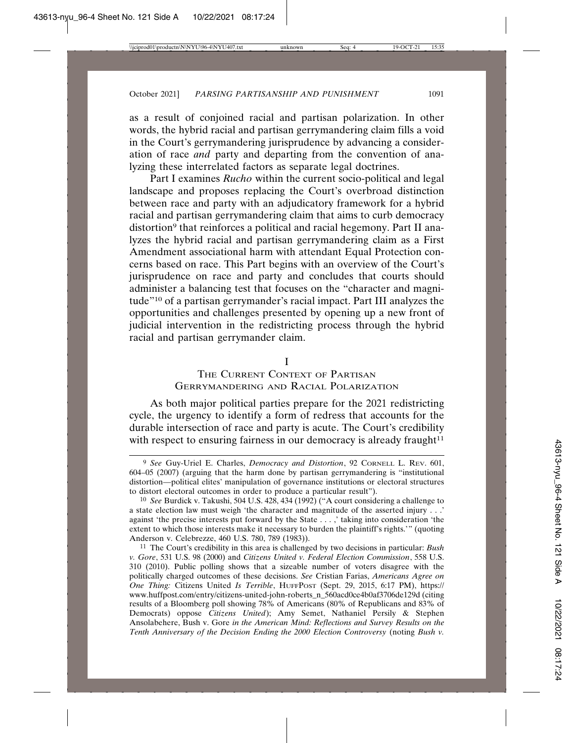as a result of conjoined racial and partisan polarization. In other words, the hybrid racial and partisan gerrymandering claim fills a void in the Court's gerrymandering jurisprudence by advancing a consideration of race *and* party and departing from the convention of analyzing these interrelated factors as separate legal doctrines.

Part I examines *Rucho* within the current socio-political and legal landscape and proposes replacing the Court's overbroad distinction between race and party with an adjudicatory framework for a hybrid racial and partisan gerrymandering claim that aims to curb democracy distortion<sup>9</sup> that reinforces a political and racial hegemony. Part II analyzes the hybrid racial and partisan gerrymandering claim as a First Amendment associational harm with attendant Equal Protection concerns based on race. This Part begins with an overview of the Court's jurisprudence on race and party and concludes that courts should administer a balancing test that focuses on the "character and magnitude"10 of a partisan gerrymander's racial impact. Part III analyzes the opportunities and challenges presented by opening up a new front of judicial intervention in the redistricting process through the hybrid racial and partisan gerrymander claim.

I

# THE CURRENT CONTEXT OF PARTISAN GERRYMANDERING AND RACIAL POLARIZATION

As both major political parties prepare for the 2021 redistricting cycle, the urgency to identify a form of redress that accounts for the durable intersection of race and party is acute. The Court's credibility with respect to ensuring fairness in our democracy is already fraught $11$ 

<sup>9</sup> *See* Guy-Uriel E. Charles, *Democracy and Distortion*, 92 CORNELL L. REV. 601, 604–05 (2007) (arguing that the harm done by partisan gerrymandering is "institutional distortion—political elites' manipulation of governance institutions or electoral structures to distort electoral outcomes in order to produce a particular result").

<sup>10</sup> *See* Burdick v. Takushi, 504 U.S. 428, 434 (1992) ("A court considering a challenge to a state election law must weigh 'the character and magnitude of the asserted injury . . .' against 'the precise interests put forward by the State . . . ,' taking into consideration 'the extent to which those interests make it necessary to burden the plaintiff's rights.'" (quoting Anderson v. Celebrezze, 460 U.S. 780, 789 (1983)).

<sup>11</sup> The Court's credibility in this area is challenged by two decisions in particular: *Bush v. Gore*, 531 U.S. 98 (2000) and *Citizens United v. Federal Election Commission*, 558 U.S. 310 (2010). Public polling shows that a sizeable number of voters disagree with the politically charged outcomes of these decisions. *See* Cristian Farias, *Americans Agree on One Thing:* Citizens United *Is Terrible*, HUFFPOST (Sept. 29, 2015, 6:17 PM), https:// www.huffpost.com/entry/citizens-united-john-roberts\_n\_560acd0ce4b0af3706de129d (citing results of a Bloomberg poll showing 78% of Americans (80% of Republicans and 83% of Democrats) oppose *Citizens United*); Amy Semet, Nathaniel Persily & Stephen Ansolabehere, Bush v. Gore *in the American Mind: Reflections and Survey Results on the Tenth Anniversary of the Decision Ending the 2000 Election Controversy* (noting *Bush v.*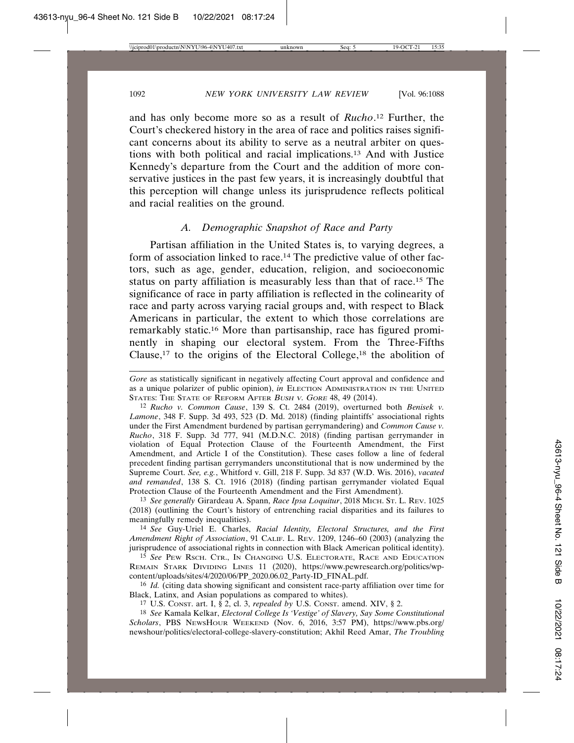and has only become more so as a result of *Rucho*. 12 Further, the Court's checkered history in the area of race and politics raises significant concerns about its ability to serve as a neutral arbiter on questions with both political and racial implications.13 And with Justice Kennedy's departure from the Court and the addition of more conservative justices in the past few years, it is increasingly doubtful that this perception will change unless its jurisprudence reflects political and racial realities on the ground.

#### *A. Demographic Snapshot of Race and Party*

Partisan affiliation in the United States is, to varying degrees, a form of association linked to race.14 The predictive value of other factors, such as age, gender, education, religion, and socioeconomic status on party affiliation is measurably less than that of race.15 The significance of race in party affiliation is reflected in the colinearity of race and party across varying racial groups and, with respect to Black Americans in particular, the extent to which those correlations are remarkably static.16 More than partisanship, race has figured prominently in shaping our electoral system. From the Three-Fifths Clause,<sup>17</sup> to the origins of the Electoral College,<sup>18</sup> the abolition of

13 *See generally* Girardeau A. Spann, *Race Ipsa Loquitur*, 2018 MICH. ST. L. REV. 1025 (2018) (outlining the Court's history of entrenching racial disparities and its failures to meaningfully remedy inequalities).

14 *See* Guy-Uriel E. Charles, *Racial Identity, Electoral Structures, and the First Amendment Right of Association*, 91 CALIF. L. REV. 1209, 1246–60 (2003) (analyzing the jurisprudence of associational rights in connection with Black American political identity).

15 *See* PEW RSCH. CTR., IN CHANGING U.S. ELECTORATE, RACE AND EDUCATION REMAIN STARK DIVIDING LINES 11 (2020), https://www.pewresearch.org/politics/wpcontent/uploads/sites/4/2020/06/PP\_2020.06.02\_Party-ID\_FINAL.pdf.

16 *Id.* (citing data showing significant and consistent race-party affiliation over time for Black, Latinx, and Asian populations as compared to whites).

18 *See* Kamala Kelkar, *Electoral College Is 'Vestige' of Slavery, Say Some Constitutional Scholars*, PBS NEWSHOUR WEEKEND (Nov. 6, 2016, 3:57 PM), https://www.pbs.org/ newshour/politics/electoral-college-slavery-constitution; Akhil Reed Amar, *The Troubling*

*Gore* as statistically significant in negatively affecting Court approval and confidence and as a unique polarizer of public opinion), *in* ELECTION ADMINISTRATION IN THE UNITED STATES: THE STATE OF REFORM AFTER BUSH V. GORE 48, 49 (2014).

<sup>12</sup> *Rucho v. Common Cause*, 139 S. Ct. 2484 (2019), overturned both *Benisek v. Lamone*, 348 F. Supp. 3d 493, 523 (D. Md. 2018) (finding plaintiffs' associational rights under the First Amendment burdened by partisan gerrymandering) and *Common Cause v. Rucho*, 318 F. Supp. 3d 777, 941 (M.D.N.C. 2018) (finding partisan gerrymander in violation of Equal Protection Clause of the Fourteenth Amendment, the First Amendment, and Article I of the Constitution). These cases follow a line of federal precedent finding partisan gerrymanders unconstitutional that is now undermined by the Supreme Court. *See, e.g.*, Whitford v. Gill, 218 F. Supp. 3d 837 (W.D. Wis. 2016), *vacated and remanded*, 138 S. Ct. 1916 (2018) (finding partisan gerrymander violated Equal Protection Clause of the Fourteenth Amendment and the First Amendment).

<sup>17</sup> U.S. CONST. art. I, § 2, cl. 3, *repealed by* U.S. CONST. amend. XIV, § 2.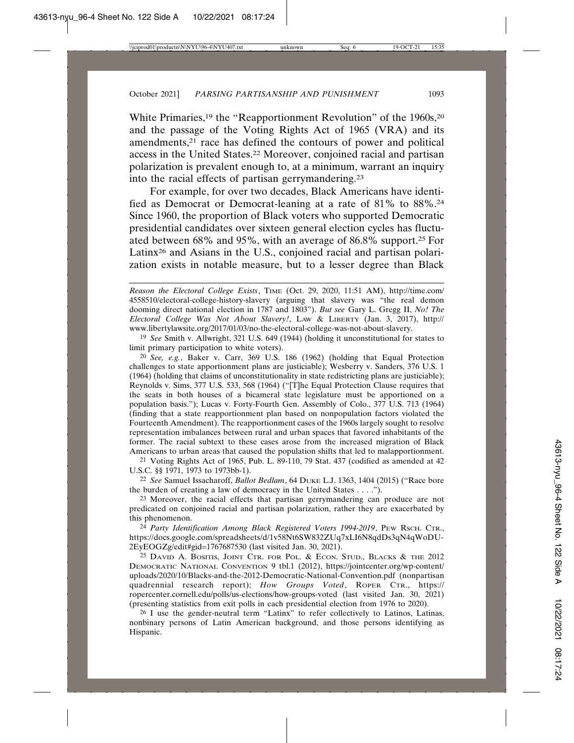White Primaries,<sup>19</sup> the "Reapportionment Revolution" of the 1960s,<sup>20</sup> and the passage of the Voting Rights Act of 1965 (VRA) and its amendments,21 race has defined the contours of power and political access in the United States.22 Moreover, conjoined racial and partisan polarization is prevalent enough to, at a minimum, warrant an inquiry into the racial effects of partisan gerrymandering.23

For example, for over two decades, Black Americans have identified as Democrat or Democrat-leaning at a rate of 81% to 88%.24 Since 1960, the proportion of Black voters who supported Democratic presidential candidates over sixteen general election cycles has fluctuated between 68% and 95%, with an average of 86.8% support.25 For Latinx<sup>26</sup> and Asians in the U.S., conjoined racial and partisan polarization exists in notable measure, but to a lesser degree than Black

19 *See* Smith v. Allwright, 321 U.S. 649 (1944) (holding it unconstitutional for states to limit primary participation to white voters).

20 *See, e.g.*, Baker v. Carr, 369 U.S. 186 (1962) (holding that Equal Protection challenges to state apportionment plans are justiciable); Wesberry v. Sanders, 376 U.S. 1 (1964) (holding that claims of unconstitutionality in state redistricting plans are justiciable); Reynolds v. Sims, 377 U.S. 533, 568 (1964) ("[T]he Equal Protection Clause requires that the seats in both houses of a bicameral state legislature must be apportioned on a population basis."); Lucas v. Forty-Fourth Gen. Assembly of Colo., 377 U.S. 713 (1964) (finding that a state reapportionment plan based on nonpopulation factors violated the Fourteenth Amendment). The reapportionment cases of the 1960s largely sought to resolve representation imbalances between rural and urban spaces that favored inhabitants of the former. The racial subtext to these cases arose from the increased migration of Black Americans to urban areas that caused the population shifts that led to malapportionment.

21 Voting Rights Act of 1965, Pub. L. 89-110, 79 Stat. 437 (codified as amended at 42 U.S.C. §§ 1971, 1973 to 1973bb-1).

22 *See* Samuel Issacharoff, *Ballot Bedlam*, 64 DUKE L.J. 1363, 1404 (2015) ("Race bore the burden of creating a law of democracy in the United States . . . .").

23 Moreover, the racial effects that partisan gerrymandering can produce are not predicated on conjoined racial and partisan polarization, rather they are exacerbated by this phenomenon.

24 *Party Identification Among Black Registered Voters 1994-2019*, PEW RSCH. CTR., https://docs.google.com/spreadsheets/d/1v58Nt6SW832ZUq7xLI6N8qdDs3qN4qWoDU-2EyEOGZg/edit#gid=1767687530 (last visited Jan. 30, 2021).

25 DAVID A. BOSITIS, JOINT CTR. FOR POL. & ECON. STUD., BLACKS & THE 2012 DEMOCRATIC NATIONAL CONVENTION 9 tbl.1 (2012), https://jointcenter.org/wp-content/ uploads/2020/10/Blacks-and-the-2012-Democratic-National-Convention.pdf (nonpartisan quadrennial research report); *How Groups Voted*, ROPER CTR., https:// ropercenter.cornell.edu/polls/us-elections/how-groups-voted (last visited Jan. 30, 2021) (presenting statistics from exit polls in each presidential election from 1976 to 2020).

26 I use the gender-neutral term "Latinx" to refer collectively to Latinos, Latinas, nonbinary persons of Latin American background, and those persons identifying as Hispanic.

*Reason the Electoral College Exists*, TIME (Oct. 29, 2020, 11:51 AM), http://time.com/ 4558510/electoral-college-history-slavery (arguing that slavery was "the real demon dooming direct national election in 1787 and 1803"). *But see* Gary L. Gregg II, *No! The Electoral College Was Not About Slavery!*, LAW & LIBERTY (Jan. 3, 2017), http:// www.libertylawsite.org/2017/01/03/no-the-electoral-college-was-not-about-slavery.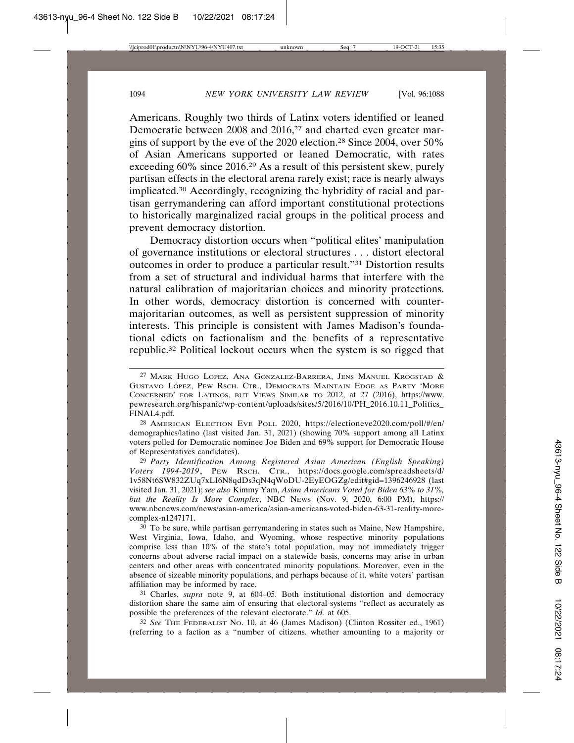Americans. Roughly two thirds of Latinx voters identified or leaned Democratic between 2008 and 2016,<sup>27</sup> and charted even greater margins of support by the eve of the 2020 election.28 Since 2004, over 50% of Asian Americans supported or leaned Democratic, with rates exceeding 60% since 2016.29 As a result of this persistent skew, purely partisan effects in the electoral arena rarely exist; race is nearly always implicated.30 Accordingly, recognizing the hybridity of racial and partisan gerrymandering can afford important constitutional protections to historically marginalized racial groups in the political process and prevent democracy distortion.

Democracy distortion occurs when "political elites' manipulation of governance institutions or electoral structures . . . distort electoral outcomes in order to produce a particular result."31 Distortion results from a set of structural and individual harms that interfere with the natural calibration of majoritarian choices and minority protections. In other words, democracy distortion is concerned with countermajoritarian outcomes, as well as persistent suppression of minority interests. This principle is consistent with James Madison's foundational edicts on factionalism and the benefits of a representative republic.32 Political lockout occurs when the system is so rigged that

28 AMERICAN ELECTION EVE POLL 2020, https://electioneve2020.com/poll/#/en/ demographics/latino (last visited Jan. 31, 2021) (showing 70% support among all Latinx voters polled for Democratic nominee Joe Biden and 69% support for Democratic House of Representatives candidates).

29 *Party Identification Among Registered Asian American (English Speaking) Voters 1994-2019*, PEW RSCH. CTR., https://docs.google.com/spreadsheets/d/ 1v58Nt6SW832ZUq7xLI6N8qdDs3qN4qWoDU-2EyEOGZg/edit#gid=1396246928 (last visited Jan. 31, 2021); *see also* Kimmy Yam, *Asian Americans Voted for Biden 63% to 31%, but the Reality Is More Complex*, NBC NEWS (Nov. 9, 2020, 6:00 PM), https:// www.nbcnews.com/news/asian-america/asian-americans-voted-biden-63-31-reality-morecomplex-n1247171.

30 To be sure, while partisan gerrymandering in states such as Maine, New Hampshire, West Virginia, Iowa, Idaho, and Wyoming, whose respective minority populations comprise less than 10% of the state's total population, may not immediately trigger concerns about adverse racial impact on a statewide basis, concerns may arise in urban centers and other areas with concentrated minority populations. Moreover, even in the absence of sizeable minority populations, and perhaps because of it, white voters' partisan affiliation may be informed by race.

31 Charles, *supra* note 9, at 604–05. Both institutional distortion and democracy distortion share the same aim of ensuring that electoral systems "reflect as accurately as possible the preferences of the relevant electorate." *Id.* at 605.

32 *See* THE FEDERALIST NO. 10, at 46 (James Madison) (Clinton Rossiter ed., 1961) (referring to a faction as a "number of citizens, whether amounting to a majority or

<sup>27</sup> MARK HUGO LOPEZ, ANA GONZALEZ-BARRERA, JENS MANUEL KROGSTAD & GUSTAVO LÓPEZ, PEW RSCH. CTR., DEMOCRATS MAINTAIN EDGE AS PARTY 'MORE CONCERNED' FOR LATINOS, BUT VIEWS SIMILAR TO 2012, at 27 (2016), https://www. pewresearch.org/hispanic/wp-content/uploads/sites/5/2016/10/PH\_2016.10.11\_Politics\_ FINAL4.pdf.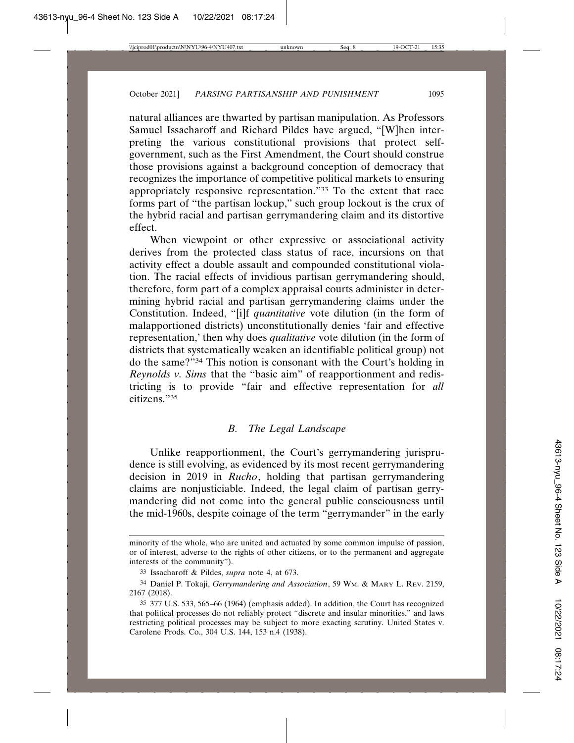natural alliances are thwarted by partisan manipulation. As Professors Samuel Issacharoff and Richard Pildes have argued, "[W]hen interpreting the various constitutional provisions that protect selfgovernment, such as the First Amendment, the Court should construe those provisions against a background conception of democracy that recognizes the importance of competitive political markets to ensuring appropriately responsive representation."33 To the extent that race forms part of "the partisan lockup," such group lockout is the crux of the hybrid racial and partisan gerrymandering claim and its distortive effect.

When viewpoint or other expressive or associational activity derives from the protected class status of race, incursions on that activity effect a double assault and compounded constitutional violation. The racial effects of invidious partisan gerrymandering should, therefore, form part of a complex appraisal courts administer in determining hybrid racial and partisan gerrymandering claims under the Constitution. Indeed, "[i]f *quantitative* vote dilution (in the form of malapportioned districts) unconstitutionally denies 'fair and effective representation,' then why does *qualitative* vote dilution (in the form of districts that systematically weaken an identifiable political group) not do the same?"34 This notion is consonant with the Court's holding in *Reynolds v. Sims* that the "basic aim" of reapportionment and redistricting is to provide "fair and effective representation for *all* citizens."35

## *B. The Legal Landscape*

Unlike reapportionment, the Court's gerrymandering jurisprudence is still evolving, as evidenced by its most recent gerrymandering decision in 2019 in *Rucho*, holding that partisan gerrymandering claims are nonjusticiable. Indeed, the legal claim of partisan gerrymandering did not come into the general public consciousness until the mid-1960s, despite coinage of the term "gerrymander" in the early

minority of the whole, who are united and actuated by some common impulse of passion, or of interest, adverse to the rights of other citizens, or to the permanent and aggregate interests of the community").

<sup>33</sup> Issacharoff & Pildes, *supra* note 4, at 673.

<sup>34</sup> Daniel P. Tokaji, *Gerrymandering and Association*, 59 WM. & MARY L. REV. 2159, 2167 (2018).

<sup>35</sup> 377 U.S. 533, 565–66 (1964) (emphasis added). In addition, the Court has recognized that political processes do not reliably protect "discrete and insular minorities," and laws restricting political processes may be subject to more exacting scrutiny. United States v. Carolene Prods. Co., 304 U.S. 144, 153 n.4 (1938).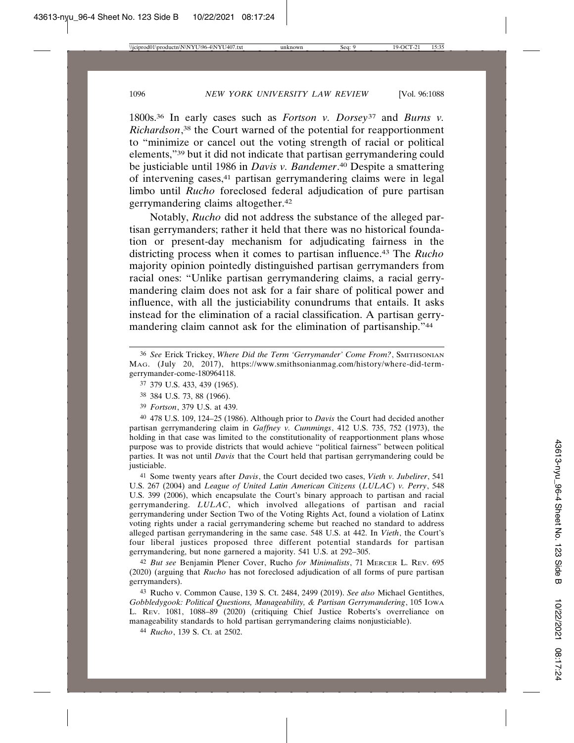1800s.36 In early cases such as *Fortson v. Dorsey*37 and *Burns v. Richardson*, 38 the Court warned of the potential for reapportionment to "minimize or cancel out the voting strength of racial or political elements,"39 but it did not indicate that partisan gerrymandering could be justiciable until 1986 in *Davis v. Bandemer*. 40 Despite a smattering of intervening cases,41 partisan gerrymandering claims were in legal limbo until *Rucho* foreclosed federal adjudication of pure partisan gerrymandering claims altogether.42

Notably, *Rucho* did not address the substance of the alleged partisan gerrymanders; rather it held that there was no historical foundation or present-day mechanism for adjudicating fairness in the districting process when it comes to partisan influence.43 The *Rucho* majority opinion pointedly distinguished partisan gerrymanders from racial ones: "Unlike partisan gerrymandering claims, a racial gerrymandering claim does not ask for a fair share of political power and influence, with all the justiciability conundrums that entails. It asks instead for the elimination of a racial classification. A partisan gerrymandering claim cannot ask for the elimination of partisanship."44

40 478 U.S. 109, 124–25 (1986). Although prior to *Davis* the Court had decided another partisan gerrymandering claim in *Gaffney v. Cummings*, 412 U.S. 735, 752 (1973), the holding in that case was limited to the constitutionality of reapportionment plans whose purpose was to provide districts that would achieve "political fairness" between political parties. It was not until *Davis* that the Court held that partisan gerrymandering could be justiciable.

41 Some twenty years after *Davis*, the Court decided two cases, *Vieth v. Jubelirer*, 541 U.S. 267 (2004) and *League of United Latin American Citizens* (*LULAC*) *v. Perry*, 548 U.S. 399 (2006), which encapsulate the Court's binary approach to partisan and racial gerrymandering. *LULAC*, which involved allegations of partisan and racial gerrymandering under Section Two of the Voting Rights Act, found a violation of Latinx voting rights under a racial gerrymandering scheme but reached no standard to address alleged partisan gerrymandering in the same case. 548 U.S. at 442. In *Vieth*, the Court's four liberal justices proposed three different potential standards for partisan gerrymandering, but none garnered a majority. 541 U.S. at 292–305.

42 *But see* Benjamin Plener Cover, Rucho *for Minimalists*, 71 MERCER L. REV. 695 (2020) (arguing that *Rucho* has not foreclosed adjudication of all forms of pure partisan gerrymanders).

43 Rucho v. Common Cause, 139 S. Ct. 2484, 2499 (2019). *See also* Michael Gentithes, *Gobbledygook: Political Questions, Manageability, & Partisan Gerrymandering*, 105 IOWA L. REV. 1081, 1088–89 (2020) (critiquing Chief Justice Roberts's overreliance on manageability standards to hold partisan gerrymandering claims nonjusticiable).

44 *Rucho*, 139 S. Ct. at 2502.

<sup>36</sup> *See* Erick Trickey, *Where Did the Term 'Gerrymander' Come From?*, SMITHSONIAN MAG. (July 20, 2017), https://www.smithsonianmag.com/history/where-did-termgerrymander-come-180964118.

<sup>37</sup> 379 U.S. 433, 439 (1965).

<sup>38</sup> 384 U.S. 73, 88 (1966).

<sup>39</sup> *Fortson*, 379 U.S. at 439.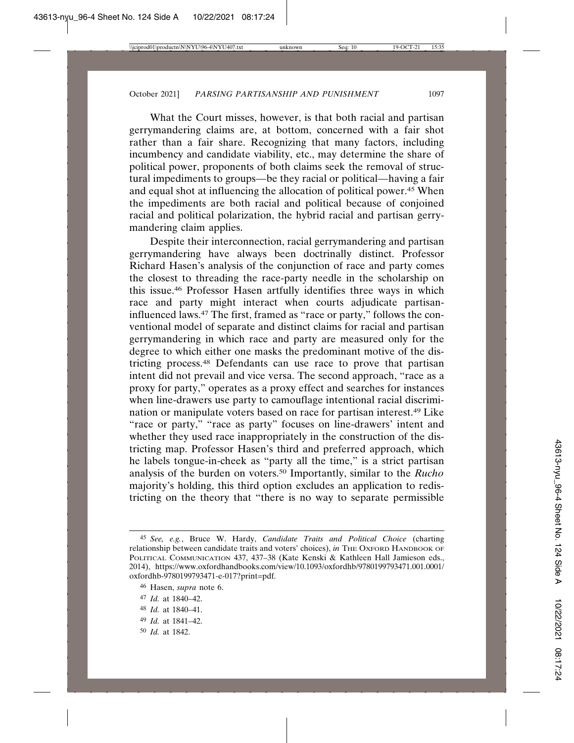What the Court misses, however, is that both racial and partisan gerrymandering claims are, at bottom, concerned with a fair shot rather than a fair share. Recognizing that many factors, including incumbency and candidate viability, etc., may determine the share of political power, proponents of both claims seek the removal of structural impediments to groups—be they racial or political—having a fair and equal shot at influencing the allocation of political power.45 When the impediments are both racial and political because of conjoined racial and political polarization, the hybrid racial and partisan gerrymandering claim applies.

Despite their interconnection, racial gerrymandering and partisan gerrymandering have always been doctrinally distinct. Professor Richard Hasen's analysis of the conjunction of race and party comes the closest to threading the race-party needle in the scholarship on this issue.46 Professor Hasen artfully identifies three ways in which race and party might interact when courts adjudicate partisaninfluenced laws.47 The first, framed as "race or party," follows the conventional model of separate and distinct claims for racial and partisan gerrymandering in which race and party are measured only for the degree to which either one masks the predominant motive of the districting process.48 Defendants can use race to prove that partisan intent did not prevail and vice versa. The second approach, "race as a proxy for party," operates as a proxy effect and searches for instances when line-drawers use party to camouflage intentional racial discrimination or manipulate voters based on race for partisan interest.49 Like "race or party," "race as party" focuses on line-drawers' intent and whether they used race inappropriately in the construction of the districting map. Professor Hasen's third and preferred approach, which he labels tongue-in-cheek as "party all the time," is a strict partisan analysis of the burden on voters.50 Importantly, similar to the *Rucho* majority's holding, this third option excludes an application to redistricting on the theory that "there is no way to separate permissible

- 49 *Id.* at 1841–42.
- 50 *Id.* at 1842.

<sup>45</sup> *See, e.g.*, Bruce W. Hardy, *Candidate Traits and Political Choice* (charting relationship between candidate traits and voters' choices), *in* THE OXFORD HANDBOOK OF POLITICAL COMMUNICATION 437, 437–38 (Kate Kenski & Kathleen Hall Jamieson eds., 2014), https://www.oxfordhandbooks.com/view/10.1093/oxfordhb/9780199793471.001.0001/ oxfordhb-9780199793471-e-017?print=pdf.

<sup>46</sup> Hasen, *supra* note 6.

<sup>47</sup> *Id.* at 1840–42.

<sup>48</sup> *Id.* at 1840–41.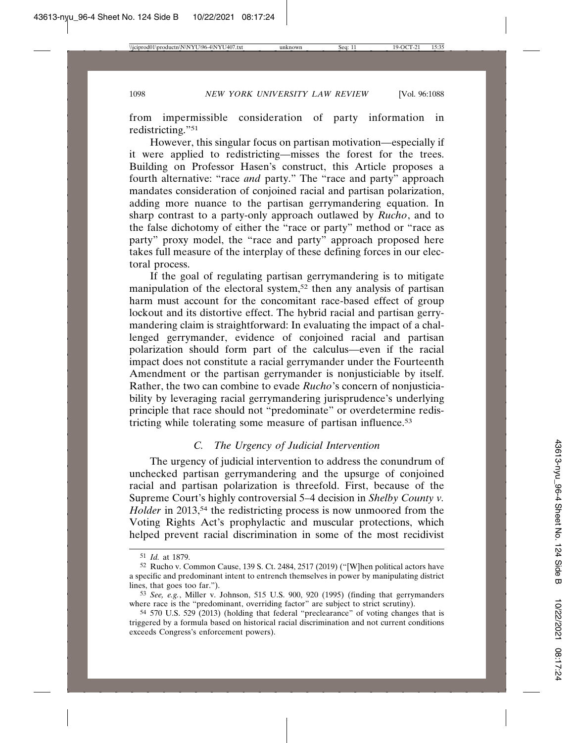from impermissible consideration of party information in redistricting."51

However, this singular focus on partisan motivation—especially if it were applied to redistricting—misses the forest for the trees. Building on Professor Hasen's construct, this Article proposes a fourth alternative: "race *and* party." The "race and party" approach mandates consideration of conjoined racial and partisan polarization, adding more nuance to the partisan gerrymandering equation. In sharp contrast to a party-only approach outlawed by *Rucho*, and to the false dichotomy of either the "race or party" method or "race as party" proxy model, the "race and party" approach proposed here takes full measure of the interplay of these defining forces in our electoral process.

If the goal of regulating partisan gerrymandering is to mitigate manipulation of the electoral system,<sup>52</sup> then any analysis of partisan harm must account for the concomitant race-based effect of group lockout and its distortive effect. The hybrid racial and partisan gerrymandering claim is straightforward: In evaluating the impact of a challenged gerrymander, evidence of conjoined racial and partisan polarization should form part of the calculus—even if the racial impact does not constitute a racial gerrymander under the Fourteenth Amendment or the partisan gerrymander is nonjusticiable by itself. Rather, the two can combine to evade *Rucho*'s concern of nonjusticiability by leveraging racial gerrymandering jurisprudence's underlying principle that race should not "predominate" or overdetermine redistricting while tolerating some measure of partisan influence.53

# *C. The Urgency of Judicial Intervention*

The urgency of judicial intervention to address the conundrum of unchecked partisan gerrymandering and the upsurge of conjoined racial and partisan polarization is threefold. First, because of the Supreme Court's highly controversial 5–4 decision in *Shelby County v. Holder* in 2013,<sup>54</sup> the redistricting process is now unmoored from the Voting Rights Act's prophylactic and muscular protections, which helped prevent racial discrimination in some of the most recidivist

<sup>51</sup> *Id.* at 1879.

<sup>52</sup> Rucho v. Common Cause, 139 S. Ct. 2484, 2517 (2019) ("[W]hen political actors have a specific and predominant intent to entrench themselves in power by manipulating district lines, that goes too far.").

<sup>53</sup> *See, e.g.*, Miller v. Johnson, 515 U.S. 900, 920 (1995) (finding that gerrymanders where race is the "predominant, overriding factor" are subject to strict scrutiny).

<sup>54</sup> 570 U.S. 529 (2013) (holding that federal "preclearance" of voting changes that is triggered by a formula based on historical racial discrimination and not current conditions exceeds Congress's enforcement powers).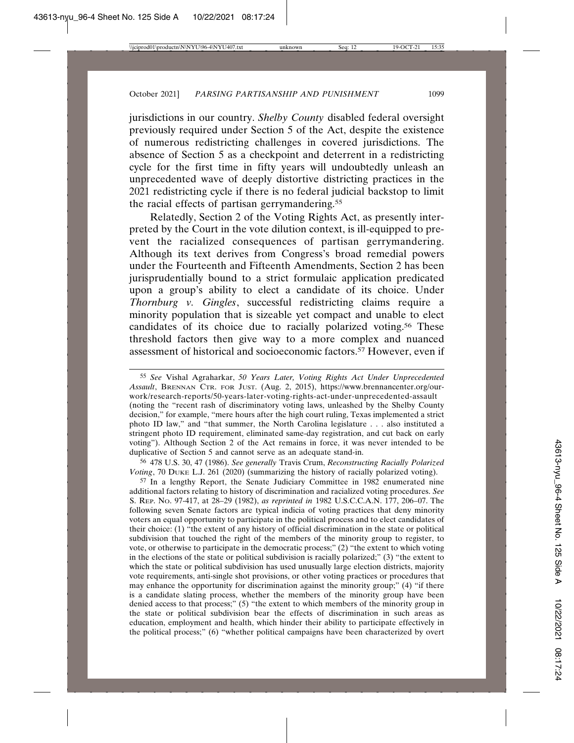jurisdictions in our country. *Shelby County* disabled federal oversight previously required under Section 5 of the Act, despite the existence of numerous redistricting challenges in covered jurisdictions. The absence of Section 5 as a checkpoint and deterrent in a redistricting cycle for the first time in fifty years will undoubtedly unleash an unprecedented wave of deeply distortive districting practices in the 2021 redistricting cycle if there is no federal judicial backstop to limit the racial effects of partisan gerrymandering.<sup>55</sup>

Relatedly, Section 2 of the Voting Rights Act, as presently interpreted by the Court in the vote dilution context, is ill-equipped to prevent the racialized consequences of partisan gerrymandering. Although its text derives from Congress's broad remedial powers under the Fourteenth and Fifteenth Amendments, Section 2 has been jurisprudentially bound to a strict formulaic application predicated upon a group's ability to elect a candidate of its choice. Under *Thornburg v. Gingles*, successful redistricting claims require a minority population that is sizeable yet compact and unable to elect candidates of its choice due to racially polarized voting.56 These threshold factors then give way to a more complex and nuanced assessment of historical and socioeconomic factors.<sup>57</sup> However, even if

56 478 U.S. 30, 47 (1986). *See generally* Travis Crum, *Reconstructing Racially Polarized Voting*, 70 DUKE L.J. 261 (2020) (summarizing the history of racially polarized voting).

57 In a lengthy Report, the Senate Judiciary Committee in 1982 enumerated nine additional factors relating to history of discrimination and racialized voting procedures. *See* S. REP. NO. 97-417, at 28–29 (1982), *as reprinted in* 1982 U.S.C.C.A.N. 177, 206–07. The following seven Senate factors are typical indicia of voting practices that deny minority voters an equal opportunity to participate in the political process and to elect candidates of their choice: (1) "the extent of any history of official discrimination in the state or political subdivision that touched the right of the members of the minority group to register, to vote, or otherwise to participate in the democratic process;" (2) "the extent to which voting in the elections of the state or political subdivision is racially polarized;" (3) "the extent to which the state or political subdivision has used unusually large election districts, majority vote requirements, anti-single shot provisions, or other voting practices or procedures that may enhance the opportunity for discrimination against the minority group;" (4) "if there is a candidate slating process, whether the members of the minority group have been denied access to that process;" (5) "the extent to which members of the minority group in the state or political subdivision bear the effects of discrimination in such areas as education, employment and health, which hinder their ability to participate effectively in the political process;" (6) "whether political campaigns have been characterized by overt

<sup>55</sup> *See* Vishal Agraharkar, *50 Years Later, Voting Rights Act Under Unprecedented Assault*, BRENNAN CTR. FOR JUST. (Aug. 2, 2015), https://www.brennancenter.org/ourwork/research-reports/50-years-later-voting-rights-act-under-unprecedented-assault (noting the "recent rash of discriminatory voting laws, unleashed by the Shelby County decision," for example, "mere hours after the high court ruling, Texas implemented a strict photo ID law," and "that summer, the North Carolina legislature . . . also instituted a stringent photo ID requirement, eliminated same-day registration, and cut back on early voting"). Although Section 2 of the Act remains in force, it was never intended to be duplicative of Section 5 and cannot serve as an adequate stand-in.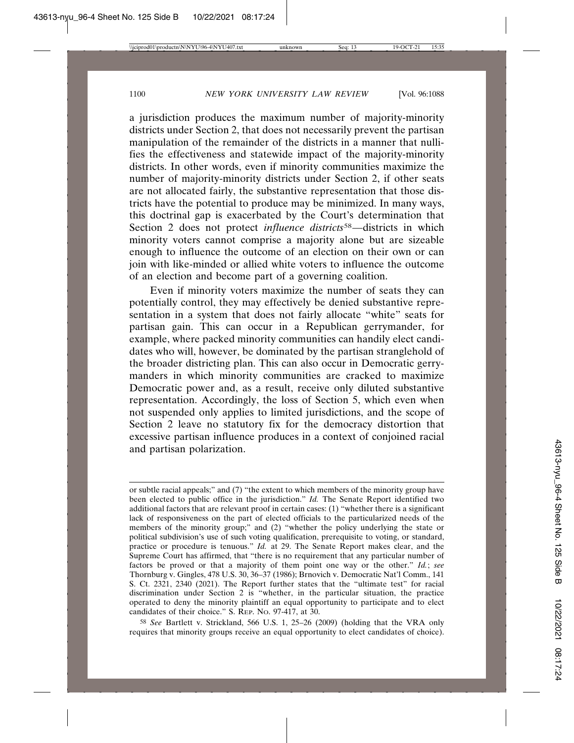a jurisdiction produces the maximum number of majority-minority districts under Section 2, that does not necessarily prevent the partisan manipulation of the remainder of the districts in a manner that nullifies the effectiveness and statewide impact of the majority-minority districts. In other words, even if minority communities maximize the number of majority-minority districts under Section 2, if other seats are not allocated fairly, the substantive representation that those districts have the potential to produce may be minimized. In many ways, this doctrinal gap is exacerbated by the Court's determination that Section 2 does not protect *influence districts*<sup>58</sup>—districts in which minority voters cannot comprise a majority alone but are sizeable enough to influence the outcome of an election on their own or can join with like-minded or allied white voters to influence the outcome of an election and become part of a governing coalition.

Even if minority voters maximize the number of seats they can potentially control, they may effectively be denied substantive representation in a system that does not fairly allocate "white" seats for partisan gain. This can occur in a Republican gerrymander, for example, where packed minority communities can handily elect candidates who will, however, be dominated by the partisan stranglehold of the broader districting plan. This can also occur in Democratic gerrymanders in which minority communities are cracked to maximize Democratic power and, as a result, receive only diluted substantive representation. Accordingly, the loss of Section 5, which even when not suspended only applies to limited jurisdictions, and the scope of Section 2 leave no statutory fix for the democracy distortion that excessive partisan influence produces in a context of conjoined racial and partisan polarization.

58 *See* Bartlett v. Strickland, 566 U.S. 1, 25–26 (2009) (holding that the VRA only requires that minority groups receive an equal opportunity to elect candidates of choice).

or subtle racial appeals;" and (7) "the extent to which members of the minority group have been elected to public office in the jurisdiction." *Id.* The Senate Report identified two additional factors that are relevant proof in certain cases: (1) "whether there is a significant lack of responsiveness on the part of elected officials to the particularized needs of the members of the minority group;" and (2) "whether the policy underlying the state or political subdivision's use of such voting qualification, prerequisite to voting, or standard, practice or procedure is tenuous." *Id.* at 29. The Senate Report makes clear, and the Supreme Court has affirmed, that "there is no requirement that any particular number of factors be proved or that a majority of them point one way or the other." *Id.*; *see* Thornburg v. Gingles, 478 U.S. 30, 36–37 (1986); Brnovich v. Democratic Nat'l Comm., 141 S. Ct. 2321, 2340 (2021). The Report further states that the "ultimate test" for racial discrimination under Section 2 is "whether, in the particular situation, the practice operated to deny the minority plaintiff an equal opportunity to participate and to elect candidates of their choice." S. REP. NO. 97-417, at 30.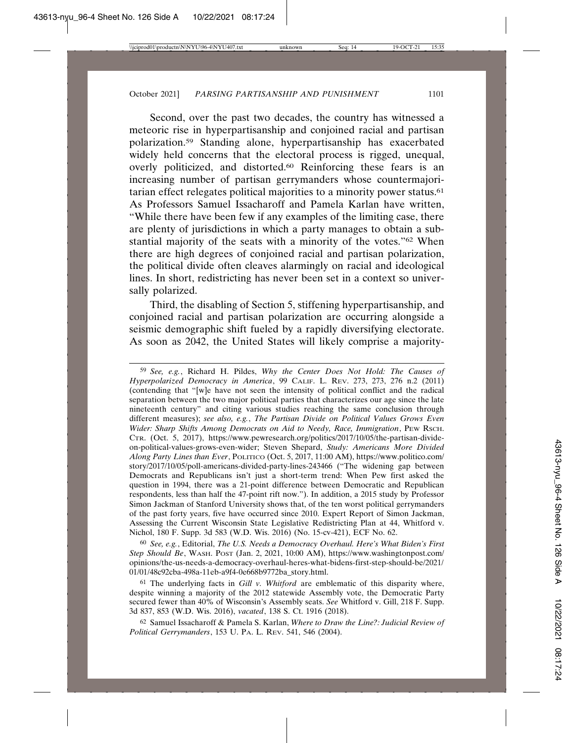Second, over the past two decades, the country has witnessed a meteoric rise in hyperpartisanship and conjoined racial and partisan polarization.59 Standing alone, hyperpartisanship has exacerbated widely held concerns that the electoral process is rigged, unequal, overly politicized, and distorted.60 Reinforcing these fears is an increasing number of partisan gerrymanders whose countermajoritarian effect relegates political majorities to a minority power status.61 As Professors Samuel Issacharoff and Pamela Karlan have written, "While there have been few if any examples of the limiting case, there are plenty of jurisdictions in which a party manages to obtain a substantial majority of the seats with a minority of the votes."62 When there are high degrees of conjoined racial and partisan polarization, the political divide often cleaves alarmingly on racial and ideological lines. In short, redistricting has never been set in a context so universally polarized.

Third, the disabling of Section 5, stiffening hyperpartisanship, and conjoined racial and partisan polarization are occurring alongside a seismic demographic shift fueled by a rapidly diversifying electorate. As soon as 2042, the United States will likely comprise a majority-

59 *See, e.g.*, Richard H. Pildes, *Why the Center Does Not Hold: The Causes of Hyperpolarized Democracy in America*, 99 CALIF. L. REV. 273, 273, 276 n.2 (2011) (contending that "[w]e have not seen the intensity of political conflict and the radical separation between the two major political parties that characterizes our age since the late nineteenth century" and citing various studies reaching the same conclusion through different measures); *see also, e.g.*, *The Partisan Divide on Political Values Grows Even Wider: Sharp Shifts Among Democrats on Aid to Needy, Race, Immigration*, PEW RSCH. CTR. (Oct. 5, 2017), https://www.pewresearch.org/politics/2017/10/05/the-partisan-divideon-political-values-grows-even-wider; Steven Shepard, *Study: Americans More Divided Along Party Lines than Ever*, POLITICO (Oct. 5, 2017, 11:00 AM), https://www.politico.com/ story/2017/10/05/poll-americans-divided-party-lines-243466 ("The widening gap between Democrats and Republicans isn't just a short-term trend: When Pew first asked the question in 1994, there was a 21-point difference between Democratic and Republican respondents, less than half the 47-point rift now."). In addition, a 2015 study by Professor Simon Jackman of Stanford University shows that, of the ten worst political gerrymanders of the past forty years, five have occurred since 2010. Expert Report of Simon Jackman, Assessing the Current Wisconsin State Legislative Redistricting Plan at 44, Whitford v. Nichol, 180 F. Supp. 3d 583 (W.D. Wis. 2016) (No. 15-cv-421), ECF No. 62.

60 *See, e.g.*, Editorial, *The U.S. Needs a Democracy Overhaul. Here's What Biden's First Step Should Be*, WASH. POST (Jan. 2, 2021, 10:00 AM), https://www.washingtonpost.com/ opinions/the-us-needs-a-democracy-overhaul-heres-what-bidens-first-step-should-be/2021/ 01/01/48c92cba-498a-11eb-a9f4-0e668b9772ba\_story.html.

61 The underlying facts in *Gill v. Whitford* are emblematic of this disparity where, despite winning a majority of the 2012 statewide Assembly vote, the Democratic Party secured fewer than 40% of Wisconsin's Assembly seats. *See* Whitford v. Gill, 218 F. Supp. 3d 837, 853 (W.D. Wis. 2016), *vacated*, 138 S. Ct. 1916 (2018).

62 Samuel Issacharoff & Pamela S. Karlan, *Where to Draw the Line?: Judicial Review of Political Gerrymanders*, 153 U. PA. L. REV. 541, 546 (2004).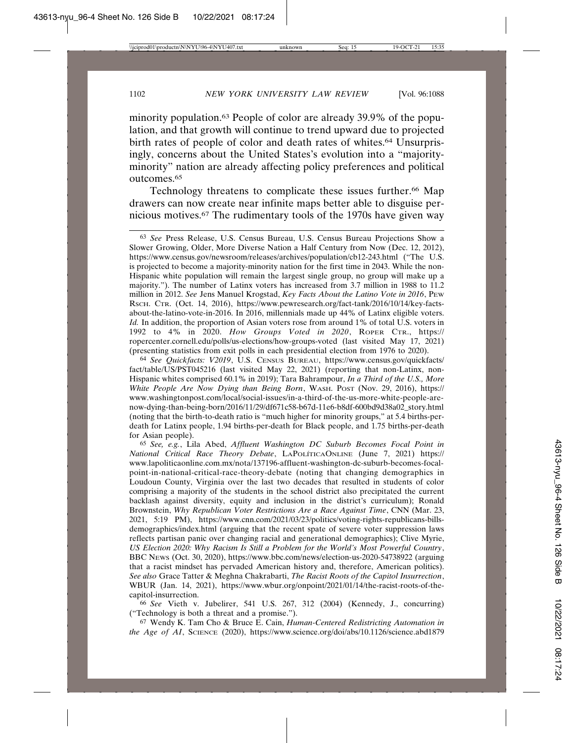minority population.63 People of color are already 39.9% of the population, and that growth will continue to trend upward due to projected birth rates of people of color and death rates of whites.<sup>64</sup> Unsurprisingly, concerns about the United States's evolution into a "majorityminority" nation are already affecting policy preferences and political outcomes.65

Technology threatens to complicate these issues further.<sup>66</sup> Map drawers can now create near infinite maps better able to disguise pernicious motives.67 The rudimentary tools of the 1970s have given way

63 *See* Press Release, U.S. Census Bureau, U.S. Census Bureau Projections Show a Slower Growing, Older, More Diverse Nation a Half Century from Now (Dec. 12, 2012), https://www.census.gov/newsroom/releases/archives/population/cb12-243.html ("The U.S. is projected to become a majority-minority nation for the first time in 2043. While the non-Hispanic white population will remain the largest single group, no group will make up a majority."). The number of Latinx voters has increased from 3.7 million in 1988 to 11.2 million in 2012. *See* Jens Manuel Krogstad, *Key Facts About the Latino Vote in 2016*, PEW RSCH. CTR. (Oct. 14, 2016), https://www.pewresearch.org/fact-tank/2016/10/14/key-factsabout-the-latino-vote-in-2016. In 2016, millennials made up 44% of Latinx eligible voters. *Id.* In addition, the proportion of Asian voters rose from around 1% of total U.S. voters in 1992 to 4% in 2020. *How Groups Voted in 2020*, ROPER CTR., https:// ropercenter.cornell.edu/polls/us-elections/how-groups-voted (last visited May 17, 2021) (presenting statistics from exit polls in each presidential election from 1976 to 2020).

64 *See Quickfacts: V2019*, U.S. CENSUS BUREAU, https://www.census.gov/quickfacts/ fact/table/US/PST045216 (last visited May 22, 2021) (reporting that non-Latinx, non-Hispanic whites comprised 60.1% in 2019); Tara Bahrampour, *In a Third of the U.S., More White People Are Now Dying than Being Born*, WASH. POST (Nov. 29, 2016), https:// www.washingtonpost.com/local/social-issues/in-a-third-of-the-us-more-white-people-arenow-dying-than-being-born/2016/11/29/df671c58-b67d-11e6-b8df-600bd9d38a02\_story.html (noting that the birth-to-death ratio is "much higher for minority groups," at 5.4 births-perdeath for Latinx people, 1.94 births-per-death for Black people, and 1.75 births-per-death for Asian people).

65 *See, e.g.*, Lila Abed, *Affluent Washington DC Suburb Becomes Focal Point in National Critical Race Theory Debate*, LAPOL´ ITICAONLINE (June 7, 2021) https:// www.lapoliticaonline.com.mx/nota/137196-affluent-washington-dc-suburb-becomes-focalpoint-in-national-critical-race-theory-debate (noting that changing demographics in Loudoun County, Virginia over the last two decades that resulted in students of color comprising a majority of the students in the school district also precipitated the current backlash against diversity, equity and inclusion in the district's curriculum); Ronald Brownstein, *Why Republican Voter Restrictions Are a Race Against Time*, CNN (Mar. 23, 2021, 5:19 PM), https://www.cnn.com/2021/03/23/politics/voting-rights-republicans-billsdemographics/index.html (arguing that the recent spate of severe voter suppression laws reflects partisan panic over changing racial and generational demographics); Clive Myrie, *US Election 2020: Why Racism Is Still a Problem for the World's Most Powerful Country*, BBC NEWS (Oct. 30, 2020), https://www.bbc.com/news/election-us-2020-54738922 (arguing that a racist mindset has pervaded American history and, therefore, American politics). *See also* Grace Tatter & Meghna Chakrabarti, *The Racist Roots of the Capitol Insurrection*, WBUR (Jan. 14, 2021), https://www.wbur.org/onpoint/2021/01/14/the-racist-roots-of-thecapitol-insurrection.

66 *See* Vieth v. Jubelirer, 541 U.S. 267, 312 (2004) (Kennedy, J., concurring) ("Technology is both a threat and a promise.").

67 Wendy K. Tam Cho & Bruce E. Cain, *Human-Centered Redistricting Automation in the Age of AI*, SCIENCE (2020), https://www.science.org/doi/abs/10.1126/science.abd1879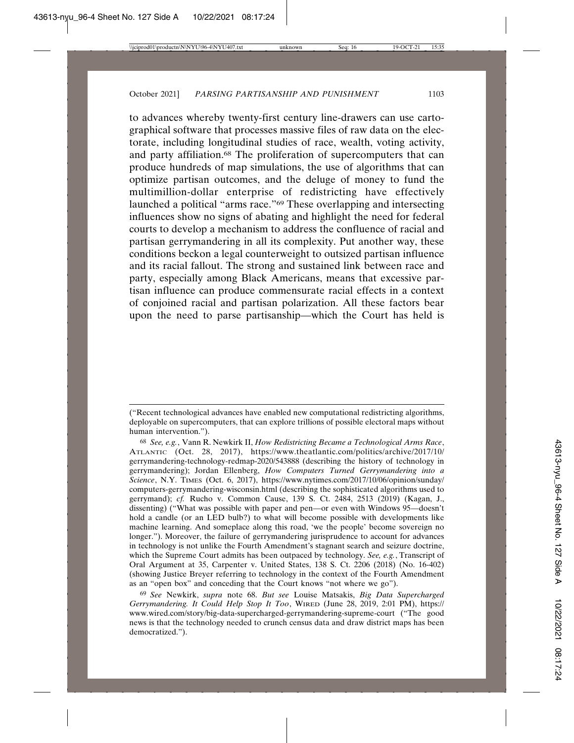to advances whereby twenty-first century line-drawers can use cartographical software that processes massive files of raw data on the electorate, including longitudinal studies of race, wealth, voting activity, and party affiliation.<sup>68</sup> The proliferation of supercomputers that can produce hundreds of map simulations, the use of algorithms that can optimize partisan outcomes, and the deluge of money to fund the multimillion-dollar enterprise of redistricting have effectively launched a political "arms race."69 These overlapping and intersecting influences show no signs of abating and highlight the need for federal courts to develop a mechanism to address the confluence of racial and partisan gerrymandering in all its complexity. Put another way, these conditions beckon a legal counterweight to outsized partisan influence and its racial fallout. The strong and sustained link between race and party, especially among Black Americans, means that excessive partisan influence can produce commensurate racial effects in a context of conjoined racial and partisan polarization. All these factors bear upon the need to parse partisanship—which the Court has held is

<sup>(&</sup>quot;Recent technological advances have enabled new computational redistricting algorithms, deployable on supercomputers, that can explore trillions of possible electoral maps without human intervention.").

<sup>68</sup> *See, e.g.*, Vann R. Newkirk II, *How Redistricting Became a Technological Arms Race*, ATLANTIC (Oct. 28, 2017), https://www.theatlantic.com/politics/archive/2017/10/ gerrymandering-technology-redmap-2020/543888 (describing the history of technology in gerrymandering); Jordan Ellenberg, *How Computers Turned Gerrymandering into a Science*, N.Y. TIMES (Oct. 6, 2017), https://www.nytimes.com/2017/10/06/opinion/sunday/ computers-gerrymandering-wisconsin.html (describing the sophisticated algorithms used to gerrymand); *cf.* Rucho v. Common Cause, 139 S. Ct. 2484, 2513 (2019) (Kagan, J., dissenting) ("What was possible with paper and pen—or even with Windows 95—doesn't hold a candle (or an LED bulb?) to what will become possible with developments like machine learning. And someplace along this road, 'we the people' become sovereign no longer."). Moreover, the failure of gerrymandering jurisprudence to account for advances in technology is not unlike the Fourth Amendment's stagnant search and seizure doctrine, which the Supreme Court admits has been outpaced by technology. *See, e.g.*, Transcript of Oral Argument at 35, Carpenter v. United States, 138 S. Ct. 2206 (2018) (No. 16-402) (showing Justice Breyer referring to technology in the context of the Fourth Amendment as an "open box" and conceding that the Court knows "not where we go").

<sup>69</sup> *See* Newkirk, *supra* note 68. *But see* Louise Matsakis, *Big Data Supercharged Gerrymandering. It Could Help Stop It Too*, WIRED (June 28, 2019, 2:01 PM), https:// www.wired.com/story/big-data-supercharged-gerrymandering-supreme-court ("The good news is that the technology needed to crunch census data and draw district maps has been democratized.").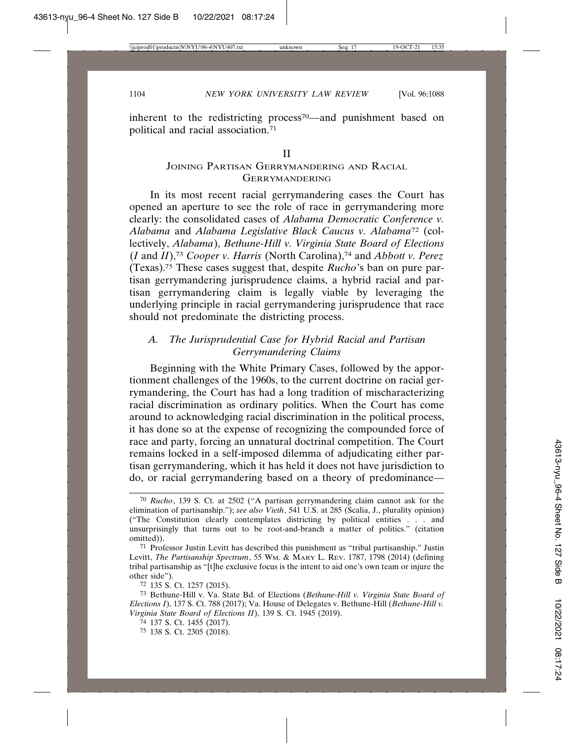inherent to the redistricting process<sup>70</sup>—and punishment based on political and racial association.71

#### II

## JOINING PARTISAN GERRYMANDERING AND RACIAL GERRYMANDERING

In its most recent racial gerrymandering cases the Court has opened an aperture to see the role of race in gerrymandering more clearly: the consolidated cases of *Alabama Democratic Conference v. Alabama* and *Alabama Legislative Black Caucus v. Alabama*72 (collectively, *Alabama*), *Bethune-Hill v. Virginia State Board of Elections* (*I* and *II*),73 *Cooper v. Harris* (North Carolina),74 and *Abbott v. Perez* (Texas).75 These cases suggest that, despite *Rucho*'s ban on pure partisan gerrymandering jurisprudence claims, a hybrid racial and partisan gerrymandering claim is legally viable by leveraging the underlying principle in racial gerrymandering jurisprudence that race should not predominate the districting process.

# *A. The Jurisprudential Case for Hybrid Racial and Partisan Gerrymandering Claims*

Beginning with the White Primary Cases, followed by the apportionment challenges of the 1960s, to the current doctrine on racial gerrymandering, the Court has had a long tradition of mischaracterizing racial discrimination as ordinary politics. When the Court has come around to acknowledging racial discrimination in the political process, it has done so at the expense of recognizing the compounded force of race and party, forcing an unnatural doctrinal competition. The Court remains locked in a self-imposed dilemma of adjudicating either partisan gerrymandering, which it has held it does not have jurisdiction to do, or racial gerrymandering based on a theory of predominance—

<sup>70</sup> *Rucho*, 139 S. Ct. at 2502 ("A partisan gerrymandering claim cannot ask for the elimination of partisanship."); *see also Vieth*, 541 U.S. at 285 (Scalia, J., plurality opinion) ("The Constitution clearly contemplates districting by political entities . . . and unsurprisingly that turns out to be root-and-branch a matter of politics." (citation omitted)).

<sup>71</sup> Professor Justin Levitt has described this punishment as "tribal partisanship." Justin Levitt, *The Partisanship Spectrum*, 55 Wm. & MARY L. REV. 1787, 1798 (2014) (defining tribal partisanship as "[t]he exclusive focus is the intent to aid one's own team or injure the other side").

<sup>72</sup> 135 S. Ct. 1257 (2015).

<sup>73</sup> Bethune-Hill v. Va. State Bd. of Elections (*Bethune-Hill v. Virginia State Board of Elections I*), 137 S. Ct. 788 (2017); Va. House of Delegates v. Bethune-Hill (*Bethune-Hill v. Virginia State Board of Elections II*), 139 S. Ct. 1945 (2019).

<sup>74</sup> 137 S. Ct. 1455 (2017).

<sup>75</sup> 138 S. Ct. 2305 (2018).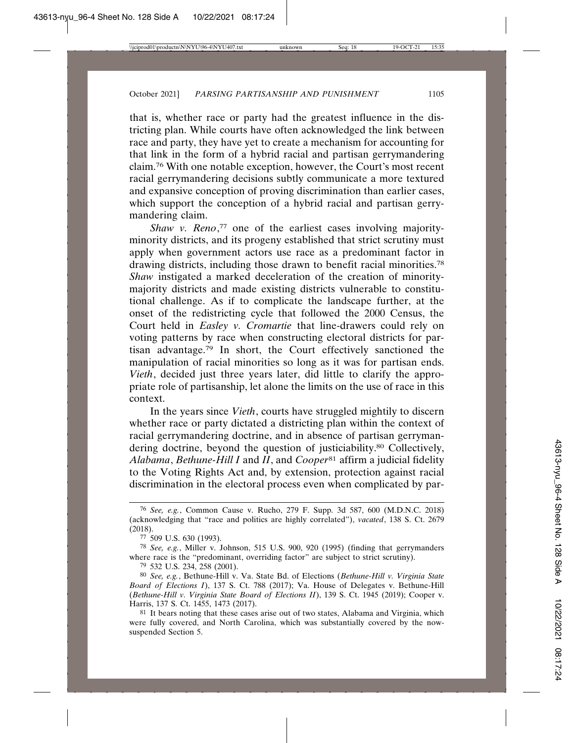that is, whether race or party had the greatest influence in the districting plan. While courts have often acknowledged the link between race and party, they have yet to create a mechanism for accounting for that link in the form of a hybrid racial and partisan gerrymandering claim.76 With one notable exception, however, the Court's most recent racial gerrymandering decisions subtly communicate a more textured and expansive conception of proving discrimination than earlier cases, which support the conception of a hybrid racial and partisan gerrymandering claim.

*Shaw v. Reno*, 77 one of the earliest cases involving majorityminority districts, and its progeny established that strict scrutiny must apply when government actors use race as a predominant factor in drawing districts, including those drawn to benefit racial minorities.78 *Shaw* instigated a marked deceleration of the creation of minoritymajority districts and made existing districts vulnerable to constitutional challenge. As if to complicate the landscape further, at the onset of the redistricting cycle that followed the 2000 Census, the Court held in *Easley v. Cromartie* that line-drawers could rely on voting patterns by race when constructing electoral districts for partisan advantage.79 In short, the Court effectively sanctioned the manipulation of racial minorities so long as it was for partisan ends. *Vieth*, decided just three years later, did little to clarify the appropriate role of partisanship, let alone the limits on the use of race in this context.

In the years since *Vieth*, courts have struggled mightily to discern whether race or party dictated a districting plan within the context of racial gerrymandering doctrine, and in absence of partisan gerrymandering doctrine, beyond the question of justiciability.80 Collectively, *Alabama*, *Bethune-Hill I* and *II*, and *Cooper*81 affirm a judicial fidelity to the Voting Rights Act and, by extension, protection against racial discrimination in the electoral process even when complicated by par-

<sup>76</sup> *See, e.g.*, Common Cause v. Rucho, 279 F. Supp. 3d 587, 600 (M.D.N.C. 2018) (acknowledging that "race and politics are highly correlated"), *vacated*, 138 S. Ct. 2679 (2018).

<sup>77</sup> 509 U.S. 630 (1993).

<sup>78</sup> *See, e.g.*, Miller v. Johnson, 515 U.S. 900, 920 (1995) (finding that gerrymanders where race is the "predominant, overriding factor" are subject to strict scrutiny).

<sup>79</sup> 532 U.S. 234, 258 (2001).

<sup>80</sup> *See, e.g.*, Bethune-Hill v. Va. State Bd. of Elections (*Bethune-Hill v. Virginia State Board of Elections I*), 137 S. Ct. 788 (2017); Va. House of Delegates v. Bethune-Hill (*Bethune-Hill v. Virginia State Board of Elections II*), 139 S. Ct. 1945 (2019); Cooper v. Harris, 137 S. Ct. 1455, 1473 (2017).

<sup>81</sup> It bears noting that these cases arise out of two states, Alabama and Virginia, which were fully covered, and North Carolina, which was substantially covered by the nowsuspended Section 5.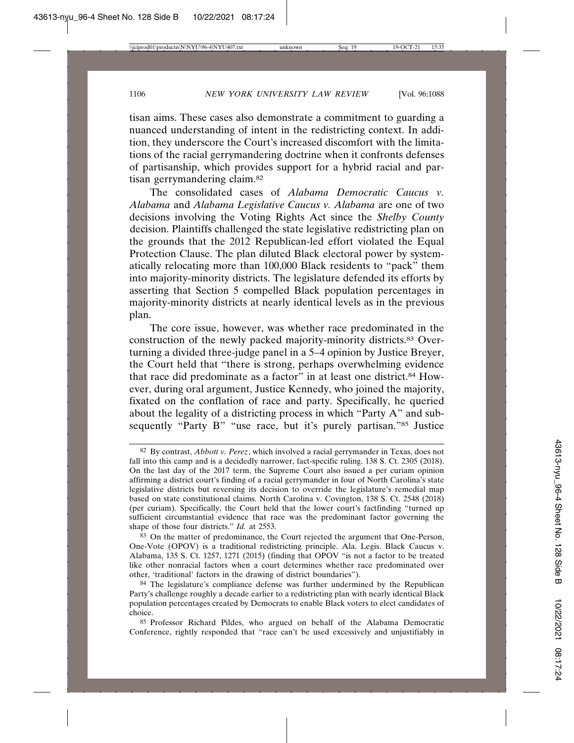tisan aims. These cases also demonstrate a commitment to guarding a nuanced understanding of intent in the redistricting context. In addition, they underscore the Court's increased discomfort with the limitations of the racial gerrymandering doctrine when it confronts defenses of partisanship, which provides support for a hybrid racial and partisan gerrymandering claim.82

The consolidated cases of *Alabama Democratic Caucus v. Alabama* and *Alabama Legislative Caucus v. Alabama* are one of two decisions involving the Voting Rights Act since the *Shelby County* decision. Plaintiffs challenged the state legislative redistricting plan on the grounds that the 2012 Republican-led effort violated the Equal Protection Clause. The plan diluted Black electoral power by systematically relocating more than 100,000 Black residents to "pack" them into majority-minority districts. The legislature defended its efforts by asserting that Section 5 compelled Black population percentages in majority-minority districts at nearly identical levels as in the previous plan.

The core issue, however, was whether race predominated in the construction of the newly packed majority-minority districts.83 Overturning a divided three-judge panel in a 5–4 opinion by Justice Breyer, the Court held that "there is strong, perhaps overwhelming evidence that race did predominate as a factor" in at least one district.<sup>84</sup> However, during oral argument, Justice Kennedy, who joined the majority, fixated on the conflation of race and party. Specifically, he queried about the legality of a districting process in which "Party A" and subsequently "Party B" "use race, but it's purely partisan."<sup>85</sup> Justice

85 Professor Richard Pildes, who argued on behalf of the Alabama Democratic Conference, rightly responded that "race can't be used excessively and unjustifiably in

<sup>82</sup> By contrast, *Abbott v. Perez*, which involved a racial gerrymander in Texas, does not fall into this camp and is a decidedly narrower, fact-specific ruling. 138 S. Ct. 2305 (2018). On the last day of the 2017 term, the Supreme Court also issued a per curiam opinion affirming a district court's finding of a racial gerrymander in four of North Carolina's state legislative districts but reversing its decision to override the legislature's remedial map based on state constitutional claims. North Carolina v. Covington, 138 S. Ct. 2548 (2018) (per curiam). Specifically, the Court held that the lower court's factfinding "turned up sufficient circumstantial evidence that race was the predominant factor governing the shape of those four districts." *Id.* at 2553.

<sup>83</sup> On the matter of predominance, the Court rejected the argument that One-Person, One-Vote (OPOV) is a traditional redistricting principle. Ala. Legis. Black Caucus v. Alabama, 135 S. Ct. 1257, 1271 (2015) (finding that OPOV "is not a factor to be treated like other nonracial factors when a court determines whether race predominated over other, 'traditional' factors in the drawing of district boundaries").

<sup>84</sup> The legislature's compliance defense was further undermined by the Republican Party's challenge roughly a decade earlier to a redistricting plan with nearly identical Black population percentages created by Democrats to enable Black voters to elect candidates of choice.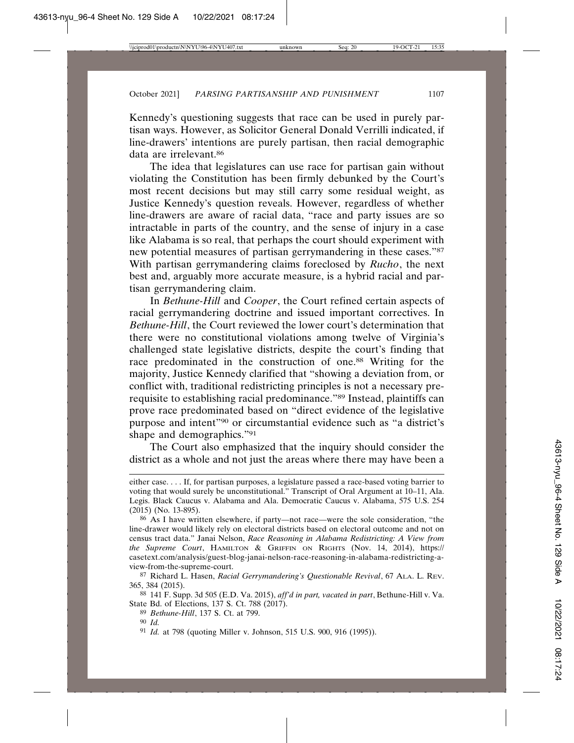Kennedy's questioning suggests that race can be used in purely partisan ways. However, as Solicitor General Donald Verrilli indicated, if line-drawers' intentions are purely partisan, then racial demographic data are irrelevant.86

The idea that legislatures can use race for partisan gain without violating the Constitution has been firmly debunked by the Court's most recent decisions but may still carry some residual weight, as Justice Kennedy's question reveals. However, regardless of whether line-drawers are aware of racial data, "race and party issues are so intractable in parts of the country, and the sense of injury in a case like Alabama is so real, that perhaps the court should experiment with new potential measures of partisan gerrymandering in these cases."87 With partisan gerrymandering claims foreclosed by *Rucho*, the next best and, arguably more accurate measure, is a hybrid racial and partisan gerrymandering claim.

In *Bethune-Hill* and *Cooper*, the Court refined certain aspects of racial gerrymandering doctrine and issued important correctives. In *Bethune-Hill*, the Court reviewed the lower court's determination that there were no constitutional violations among twelve of Virginia's challenged state legislative districts, despite the court's finding that race predominated in the construction of one.88 Writing for the majority, Justice Kennedy clarified that "showing a deviation from, or conflict with, traditional redistricting principles is not a necessary prerequisite to establishing racial predominance."89 Instead, plaintiffs can prove race predominated based on "direct evidence of the legislative purpose and intent"90 or circumstantial evidence such as "a district's shape and demographics."91

The Court also emphasized that the inquiry should consider the district as a whole and not just the areas where there may have been a

89 *Bethune-Hill*, 137 S. Ct. at 799.

91 *Id.* at 798 (quoting Miller v. Johnson, 515 U.S. 900, 916 (1995)).

either case. . . . If, for partisan purposes, a legislature passed a race-based voting barrier to voting that would surely be unconstitutional." Transcript of Oral Argument at 10–11, Ala. Legis. Black Caucus v. Alabama and Ala. Democratic Caucus v. Alabama, 575 U.S. 254 (2015) (No. 13-895).

<sup>86</sup> As I have written elsewhere, if party—not race—were the sole consideration, "the line-drawer would likely rely on electoral districts based on electoral outcome and not on census tract data." Janai Nelson, *Race Reasoning in Alabama Redistricting: A View from the Supreme Court*, HAMILTON & GRIFFIN ON RIGHTS (Nov. 14, 2014), https:// casetext.com/analysis/guest-blog-janai-nelson-race-reasoning-in-alabama-redistricting-aview-from-the-supreme-court.

<sup>87</sup> Richard L. Hasen, *Racial Gerrymandering's Questionable Revival*, 67 ALA. L. REV. 365, 384 (2015).

<sup>88</sup> 141 F. Supp. 3d 505 (E.D. Va. 2015), *aff'd in part, vacated in part*, Bethune-Hill v. Va. State Bd. of Elections, 137 S. Ct. 788 (2017).

<sup>90</sup> *Id.*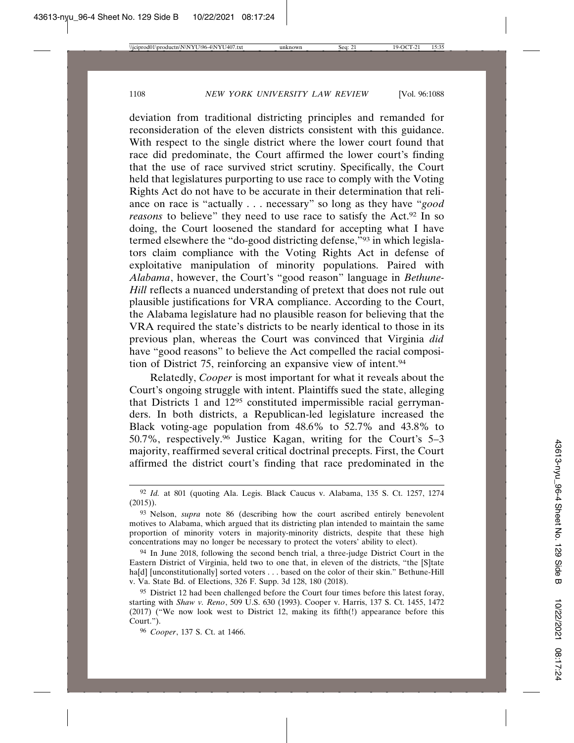deviation from traditional districting principles and remanded for reconsideration of the eleven districts consistent with this guidance. With respect to the single district where the lower court found that race did predominate, the Court affirmed the lower court's finding that the use of race survived strict scrutiny. Specifically, the Court held that legislatures purporting to use race to comply with the Voting Rights Act do not have to be accurate in their determination that reliance on race is "actually . . . necessary" so long as they have "*good reasons* to believe" they need to use race to satisfy the Act.<sup>92</sup> In so doing, the Court loosened the standard for accepting what I have termed elsewhere the "do-good districting defense,"93 in which legislators claim compliance with the Voting Rights Act in defense of exploitative manipulation of minority populations. Paired with *Alabama*, however, the Court's "good reason" language in *Bethune-Hill* reflects a nuanced understanding of pretext that does not rule out plausible justifications for VRA compliance. According to the Court, the Alabama legislature had no plausible reason for believing that the VRA required the state's districts to be nearly identical to those in its previous plan, whereas the Court was convinced that Virginia *did* have "good reasons" to believe the Act compelled the racial composition of District 75, reinforcing an expansive view of intent.94

Relatedly, *Cooper* is most important for what it reveals about the Court's ongoing struggle with intent. Plaintiffs sued the state, alleging that Districts 1 and 1295 constituted impermissible racial gerrymanders. In both districts, a Republican-led legislature increased the Black voting-age population from 48.6% to 52.7% and 43.8% to 50.7%, respectively.96 Justice Kagan, writing for the Court's 5–3 majority, reaffirmed several critical doctrinal precepts. First, the Court affirmed the district court's finding that race predominated in the

<sup>92</sup> *Id.* at 801 (quoting Ala. Legis. Black Caucus v. Alabama, 135 S. Ct. 1257, 1274 (2015)).

<sup>93</sup> Nelson, *supra* note 86 (describing how the court ascribed entirely benevolent motives to Alabama, which argued that its districting plan intended to maintain the same proportion of minority voters in majority-minority districts, despite that these high concentrations may no longer be necessary to protect the voters' ability to elect).

<sup>&</sup>lt;sup>94</sup> In June 2018, following the second bench trial, a three-judge District Court in the Eastern District of Virginia, held two to one that, in eleven of the districts, "the [S]tate ha[d] [unconstitutionally] sorted voters . . . based on the color of their skin." Bethune-Hill v. Va. State Bd. of Elections, 326 F. Supp. 3d 128, 180 (2018).

<sup>&</sup>lt;sup>95</sup> District 12 had been challenged before the Court four times before this latest foray, starting with *Shaw v. Reno*, 509 U.S. 630 (1993). Cooper v. Harris, 137 S. Ct. 1455, 1472 (2017) ("We now look west to District 12, making its fifth(!) appearance before this Court.").

<sup>96</sup> *Cooper*, 137 S. Ct. at 1466.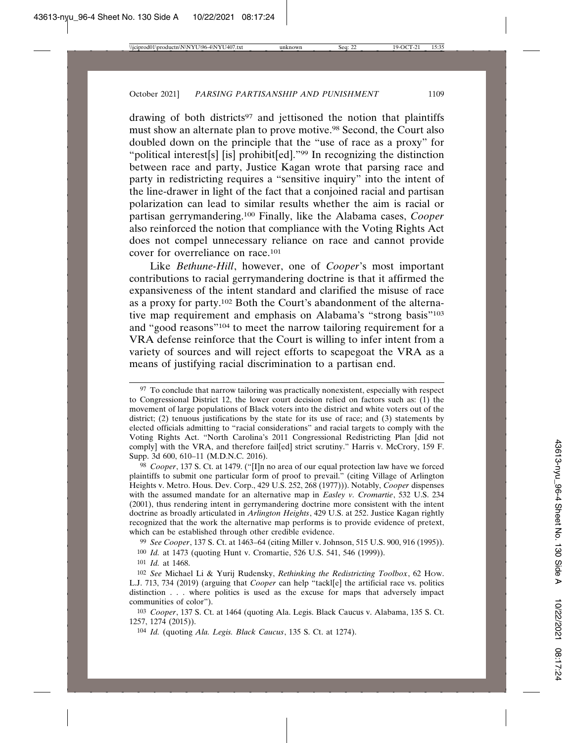drawing of both districts<sup>97</sup> and jettisoned the notion that plaintiffs must show an alternate plan to prove motive.98 Second, the Court also doubled down on the principle that the "use of race as a proxy" for "political interest[s] [is] prohibit[ed]."99 In recognizing the distinction between race and party, Justice Kagan wrote that parsing race and party in redistricting requires a "sensitive inquiry" into the intent of the line-drawer in light of the fact that a conjoined racial and partisan polarization can lead to similar results whether the aim is racial or partisan gerrymandering.100 Finally, like the Alabama cases, *Cooper* also reinforced the notion that compliance with the Voting Rights Act does not compel unnecessary reliance on race and cannot provide cover for overreliance on race.101

Like *Bethune-Hill*, however, one of *Cooper*'s most important contributions to racial gerrymandering doctrine is that it affirmed the expansiveness of the intent standard and clarified the misuse of race as a proxy for party.102 Both the Court's abandonment of the alternative map requirement and emphasis on Alabama's "strong basis"103 and "good reasons"104 to meet the narrow tailoring requirement for a VRA defense reinforce that the Court is willing to infer intent from a variety of sources and will reject efforts to scapegoat the VRA as a means of justifying racial discrimination to a partisan end.

99 *See Cooper*, 137 S. Ct. at 1463–64 (citing Miller v. Johnson, 515 U.S. 900, 916 (1995)).

100 *Id.* at 1473 (quoting Hunt v. Cromartie, 526 U.S. 541, 546 (1999)).

101 *Id.* at 1468.

<sup>&</sup>lt;sup>97</sup> To conclude that narrow tailoring was practically nonexistent, especially with respect to Congressional District 12, the lower court decision relied on factors such as: (1) the movement of large populations of Black voters into the district and white voters out of the district; (2) tenuous justifications by the state for its use of race; and (3) statements by elected officials admitting to "racial considerations" and racial targets to comply with the Voting Rights Act. "North Carolina's 2011 Congressional Redistricting Plan [did not comply] with the VRA, and therefore fail[ed] strict scrutiny." Harris v. McCrory, 159 F. Supp. 3d 600, 610–11 (M.D.N.C. 2016).

<sup>98</sup> *Cooper*, 137 S. Ct. at 1479. ("[I]n no area of our equal protection law have we forced plaintiffs to submit one particular form of proof to prevail." (citing Village of Arlington Heights v. Metro. Hous. Dev. Corp., 429 U.S. 252, 268 (1977))). Notably, *Cooper* dispenses with the assumed mandate for an alternative map in *Easley v. Cromartie*, 532 U.S. 234 (2001), thus rendering intent in gerrymandering doctrine more consistent with the intent doctrine as broadly articulated in *Arlington Heights*, 429 U.S. at 252. Justice Kagan rightly recognized that the work the alternative map performs is to provide evidence of pretext, which can be established through other credible evidence.

<sup>102</sup> *See* Michael Li & Yurij Rudensky, *Rethinking the Redistricting Toolbox*, 62 HOW. L.J. 713, 734 (2019) (arguing that *Cooper* can help "tackl[e] the artificial race vs. politics distinction . . . where politics is used as the excuse for maps that adversely impact communities of color").

<sup>103</sup> *Cooper*, 137 S. Ct. at 1464 (quoting Ala. Legis. Black Caucus v. Alabama, 135 S. Ct. 1257, 1274 (2015)).

<sup>104</sup> *Id.* (quoting *Ala. Legis. Black Caucus*, 135 S. Ct. at 1274).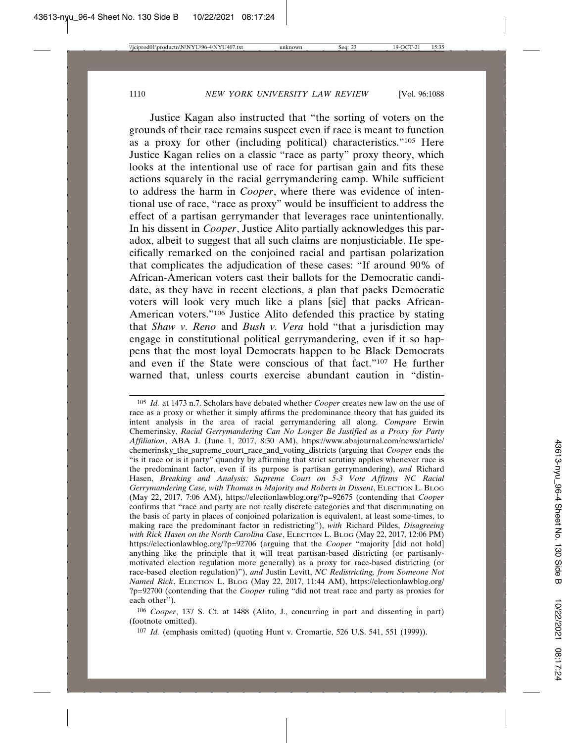Justice Kagan also instructed that "the sorting of voters on the grounds of their race remains suspect even if race is meant to function as a proxy for other (including political) characteristics."105 Here Justice Kagan relies on a classic "race as party" proxy theory, which looks at the intentional use of race for partisan gain and fits these actions squarely in the racial gerrymandering camp. While sufficient to address the harm in *Cooper*, where there was evidence of intentional use of race, "race as proxy" would be insufficient to address the effect of a partisan gerrymander that leverages race unintentionally. In his dissent in *Cooper*, Justice Alito partially acknowledges this paradox, albeit to suggest that all such claims are nonjusticiable. He specifically remarked on the conjoined racial and partisan polarization that complicates the adjudication of these cases: "If around 90% of African-American voters cast their ballots for the Democratic candidate, as they have in recent elections, a plan that packs Democratic voters will look very much like a plans [sic] that packs African-American voters."106 Justice Alito defended this practice by stating that *Shaw v. Reno* and *Bush v. Vera* hold "that a jurisdiction may engage in constitutional political gerrymandering, even if it so happens that the most loyal Democrats happen to be Black Democrats and even if the State were conscious of that fact."107 He further warned that, unless courts exercise abundant caution in "distin-

<sup>105</sup> *Id.* at 1473 n.7. Scholars have debated whether *Cooper* creates new law on the use of race as a proxy or whether it simply affirms the predominance theory that has guided its intent analysis in the area of racial gerrymandering all along. *Compare* Erwin Chemerinsky, *Racial Gerrymandering Can No Longer Be Justified as a Proxy for Party Affiliation*, ABA J. (June 1, 2017, 8:30 AM), https://www.abajournal.com/news/article/ chemerinsky\_the\_supreme\_court\_race\_and\_voting\_districts (arguing that *Cooper* ends the "is it race or is it party" quandry by affirming that strict scrutiny applies whenever race is the predominant factor, even if its purpose is partisan gerrymandering), *and* Richard Hasen, *Breaking and Analysis: Supreme Court on 5-3 Vote Affirms NC Racial Gerrymandering Case, with Thomas in Majority and Roberts in Dissent*, ELECTION L. BLOG (May 22, 2017, 7:06 AM), https://electionlawblog.org/?p=92675 (contending that *Cooper* confirms that "race and party are not really discrete categories and that discriminating on the basis of party in places of conjoined polarization is equivalent, at least some-times, to making race the predominant factor in redistricting"), *with* Richard Pildes, *Disagreeing with Rick Hasen on the North Carolina Case*, ELECTION L. BLOG (May 22, 2017, 12:06 PM) https://electionlawblog.org/?p=92706 (arguing that the *Cooper* "majority [did not hold] anything like the principle that it will treat partisan-based districting (or partisanlymotivated election regulation more generally) as a proxy for race-based districting (or race-based election regulation)"), *and* Justin Levitt, *NC Redistricting, from Someone Not Named Rick*, ELECTION L. BLOG (May 22, 2017, 11:44 AM), https://electionlawblog.org/ ?p=92700 (contending that the *Cooper* ruling "did not treat race and party as proxies for each other").

<sup>106</sup> *Cooper*, 137 S. Ct. at 1488 (Alito, J., concurring in part and dissenting in part) (footnote omitted).

<sup>107</sup> *Id.* (emphasis omitted) (quoting Hunt v. Cromartie, 526 U.S. 541, 551 (1999)).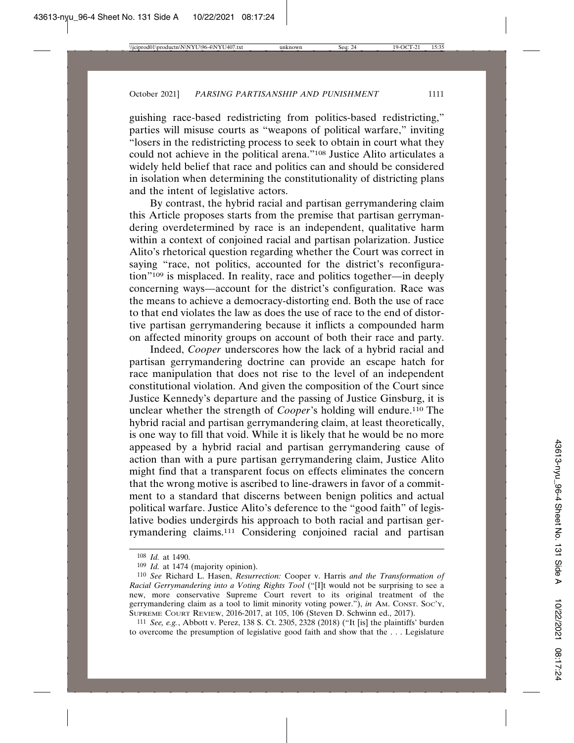guishing race-based redistricting from politics-based redistricting," parties will misuse courts as "weapons of political warfare," inviting "losers in the redistricting process to seek to obtain in court what they could not achieve in the political arena."108 Justice Alito articulates a widely held belief that race and politics can and should be considered in isolation when determining the constitutionality of districting plans and the intent of legislative actors.

By contrast, the hybrid racial and partisan gerrymandering claim this Article proposes starts from the premise that partisan gerrymandering overdetermined by race is an independent, qualitative harm within a context of conjoined racial and partisan polarization. Justice Alito's rhetorical question regarding whether the Court was correct in saying "race, not politics, accounted for the district's reconfiguration"109 is misplaced. In reality, race and politics together—in deeply concerning ways—account for the district's configuration. Race was the means to achieve a democracy-distorting end. Both the use of race to that end violates the law as does the use of race to the end of distortive partisan gerrymandering because it inflicts a compounded harm on affected minority groups on account of both their race and party.

Indeed, *Cooper* underscores how the lack of a hybrid racial and partisan gerrymandering doctrine can provide an escape hatch for race manipulation that does not rise to the level of an independent constitutional violation. And given the composition of the Court since Justice Kennedy's departure and the passing of Justice Ginsburg, it is unclear whether the strength of *Cooper*'s holding will endure.110 The hybrid racial and partisan gerrymandering claim, at least theoretically, is one way to fill that void. While it is likely that he would be no more appeased by a hybrid racial and partisan gerrymandering cause of action than with a pure partisan gerrymandering claim, Justice Alito might find that a transparent focus on effects eliminates the concern that the wrong motive is ascribed to line-drawers in favor of a commitment to a standard that discerns between benign politics and actual political warfare. Justice Alito's deference to the "good faith" of legislative bodies undergirds his approach to both racial and partisan gerrymandering claims.111 Considering conjoined racial and partisan

<sup>108</sup> *Id.* at 1490.

<sup>109</sup> *Id.* at 1474 (majority opinion).

<sup>110</sup> *See* Richard L. Hasen, *Resurrection:* Cooper v. Harris *and the Transformation of Racial Gerrymandering into a Voting Rights Tool* ("[I]t would not be surprising to see a new, more conservative Supreme Court revert to its original treatment of the gerrymandering claim as a tool to limit minority voting power."), *in* AM. CONST. SOC'Y, SUPREME COURT REVIEW, 2016-2017, at 105, 106 (Steven D. Schwinn ed., 2017).

<sup>111</sup> *See, e.g.*, Abbott v. Perez, 138 S. Ct. 2305, 2328 (2018) ("It [is] the plaintiffs' burden to overcome the presumption of legislative good faith and show that the . . . Legislature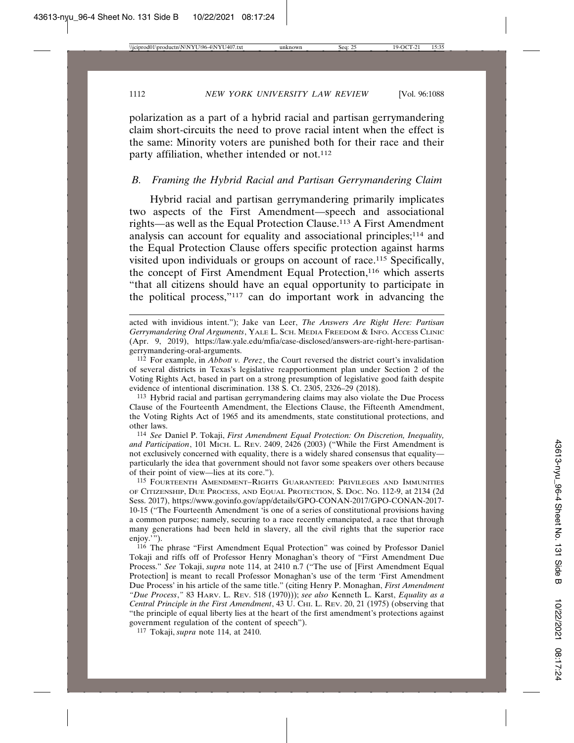polarization as a part of a hybrid racial and partisan gerrymandering claim short-circuits the need to prove racial intent when the effect is the same: Minority voters are punished both for their race and their party affiliation, whether intended or not.<sup>112</sup>

#### *B. Framing the Hybrid Racial and Partisan Gerrymandering Claim*

Hybrid racial and partisan gerrymandering primarily implicates two aspects of the First Amendment—speech and associational rights—as well as the Equal Protection Clause.113 A First Amendment analysis can account for equality and associational principles;114 and the Equal Protection Clause offers specific protection against harms visited upon individuals or groups on account of race.115 Specifically, the concept of First Amendment Equal Protection,<sup>116</sup> which asserts "that all citizens should have an equal opportunity to participate in the political process,"117 can do important work in advancing the

112 For example, in *Abbott v. Perez*, the Court reversed the district court's invalidation of several districts in Texas's legislative reapportionment plan under Section 2 of the Voting Rights Act, based in part on a strong presumption of legislative good faith despite evidence of intentional discrimination. 138 S. Ct. 2305, 2326–29 (2018).

113 Hybrid racial and partisan gerrymandering claims may also violate the Due Process Clause of the Fourteenth Amendment, the Elections Clause, the Fifteenth Amendment, the Voting Rights Act of 1965 and its amendments, state constitutional protections, and other laws.

114 *See* Daniel P. Tokaji, *First Amendment Equal Protection: On Discretion, Inequality, and Participation*, 101 MICH. L. REV. 2409, 2426 (2003) ("While the First Amendment is not exclusively concerned with equality, there is a widely shared consensus that equality particularly the idea that government should not favor some speakers over others because of their point of view—lies at its core.").

115 FOURTEENTH AMENDMENT–RIGHTS GUARANTEED: PRIVILEGES AND IMMUNITIES OF CITIZENSHIP, DUE PROCESS, AND EQUAL PROTECTION, S. DOC. NO. 112-9, at 2134 (2d Sess. 2017), https://www.govinfo.gov/app/details/GPO-CONAN-2017/GPO-CONAN-2017- 10-15 ("The Fourteenth Amendment 'is one of a series of constitutional provisions having a common purpose; namely, securing to a race recently emancipated, a race that through many generations had been held in slavery, all the civil rights that the superior race enjoy.'").

116 The phrase "First Amendment Equal Protection" was coined by Professor Daniel Tokaji and riffs off of Professor Henry Monaghan's theory of "First Amendment Due Process." *See* Tokaji, *supra* note 114, at 2410 n.7 ("The use of [First Amendment Equal Protection] is meant to recall Professor Monaghan's use of the term 'First Amendment Due Process' in his article of the same title." (citing Henry P. Monaghan, *First Amendment "Due Process*,*"* 83 HARV. L. REV. 518 (1970))); *see also* Kenneth L. Karst, *Equality as a Central Principle in the First Amendment*, 43 U. CHI. L. REV. 20, 21 (1975) (observing that "the principle of equal liberty lies at the heart of the first amendment's protections against government regulation of the content of speech").

117 Tokaji, *supra* note 114, at 2410.

acted with invidious intent."); Jake van Leer, *The Answers Are Right Here: Partisan Gerrymandering Oral Arguments*, YALE L. SCH. MEDIA FREEDOM & INFO. ACCESS CLINIC (Apr. 9, 2019), https://law.yale.edu/mfia/case-disclosed/answers-are-right-here-partisangerrymandering-oral-arguments.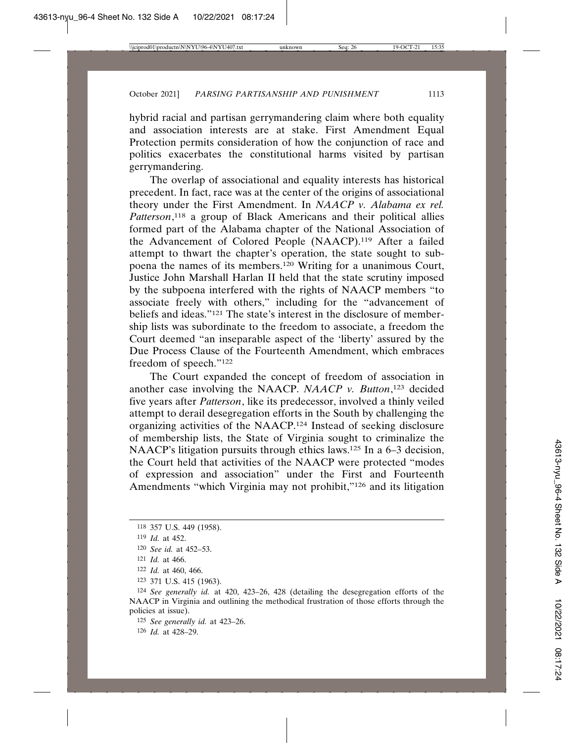hybrid racial and partisan gerrymandering claim where both equality and association interests are at stake. First Amendment Equal Protection permits consideration of how the conjunction of race and politics exacerbates the constitutional harms visited by partisan gerrymandering.

The overlap of associational and equality interests has historical precedent. In fact, race was at the center of the origins of associational theory under the First Amendment. In *NAACP v. Alabama ex rel. Patterson*, 118 a group of Black Americans and their political allies formed part of the Alabama chapter of the National Association of the Advancement of Colored People (NAACP).119 After a failed attempt to thwart the chapter's operation, the state sought to subpoena the names of its members.120 Writing for a unanimous Court, Justice John Marshall Harlan II held that the state scrutiny imposed by the subpoena interfered with the rights of NAACP members "to associate freely with others," including for the "advancement of beliefs and ideas."121 The state's interest in the disclosure of membership lists was subordinate to the freedom to associate, a freedom the Court deemed "an inseparable aspect of the 'liberty' assured by the Due Process Clause of the Fourteenth Amendment, which embraces freedom of speech."122

The Court expanded the concept of freedom of association in another case involving the NAACP. *NAACP v. Button*, 123 decided five years after *Patterson*, like its predecessor, involved a thinly veiled attempt to derail desegregation efforts in the South by challenging the organizing activities of the NAACP.124 Instead of seeking disclosure of membership lists, the State of Virginia sought to criminalize the NAACP's litigation pursuits through ethics laws.<sup>125</sup> In a 6–3 decision, the Court held that activities of the NAACP were protected "modes of expression and association" under the First and Fourteenth Amendments "which Virginia may not prohibit,"126 and its litigation

125 *See generally id.* at 423–26.

126 *Id.* at 428–29.

<sup>118</sup> 357 U.S. 449 (1958).

<sup>119</sup> *Id.* at 452.

<sup>120</sup> *See id.* at 452–53.

<sup>121</sup> *Id.* at 466.

<sup>122</sup> *Id.* at 460, 466.

<sup>123</sup> 371 U.S. 415 (1963).

<sup>124</sup> *See generally id.* at 420, 423–26, 428 (detailing the desegregation efforts of the NAACP in Virginia and outlining the methodical frustration of those efforts through the policies at issue).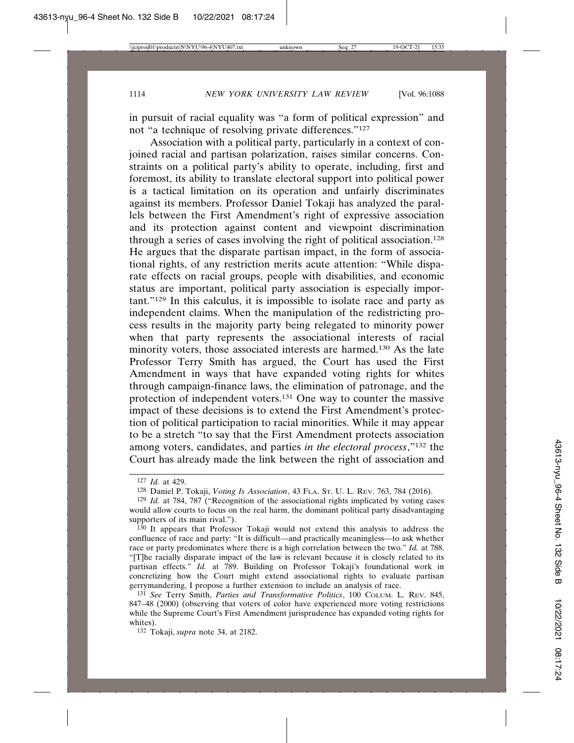in pursuit of racial equality was "a form of political expression" and not "a technique of resolving private differences."127

Association with a political party, particularly in a context of conjoined racial and partisan polarization, raises similar concerns. Constraints on a political party's ability to operate, including, first and foremost, its ability to translate electoral support into political power is a tactical limitation on its operation and unfairly discriminates against its members. Professor Daniel Tokaji has analyzed the parallels between the First Amendment's right of expressive association and its protection against content and viewpoint discrimination through a series of cases involving the right of political association.<sup>128</sup> He argues that the disparate partisan impact, in the form of associational rights, of any restriction merits acute attention: "While disparate effects on racial groups, people with disabilities, and economic status are important, political party association is especially important."129 In this calculus, it is impossible to isolate race and party as independent claims. When the manipulation of the redistricting process results in the majority party being relegated to minority power when that party represents the associational interests of racial minority voters, those associated interests are harmed.130 As the late Professor Terry Smith has argued, the Court has used the First Amendment in ways that have expanded voting rights for whites through campaign-finance laws, the elimination of patronage, and the protection of independent voters.131 One way to counter the massive impact of these decisions is to extend the First Amendment's protection of political participation to racial minorities. While it may appear to be a stretch "to say that the First Amendment protects association among voters, candidates, and parties *in the electoral process*,"132 the Court has already made the link between the right of association and

<sup>127</sup> *Id.* at 429.

<sup>128</sup> Daniel P. Tokaji, *Voting Is Association*, 43 FLA. ST. U. L. REV. 763, 784 (2016).

<sup>129</sup> *Id.* at 784, 787 ("Recognition of the associational rights implicated by voting cases would allow courts to focus on the real harm, the dominant political party disadvantaging supporters of its main rival.").

<sup>130</sup> It appears that Professor Tokaji would not extend this analysis to address the confluence of race and party: "It is difficult—and practically meaningless—to ask whether race or party predominates where there is a high correlation between the two." *Id.* at 788. "[T]he racially disparate impact of the law is relevant because it is closely related to its partisan effects." *Id.* at 789. Building on Professor Tokaji's foundational work in concretizing how the Court might extend associational rights to evaluate partisan gerrymandering, I propose a further extension to include an analysis of race.

<sup>131</sup> *See* Terry Smith, *Parties and Transformative Politics*, 100 COLUM. L. REV. 845, 847–48 (2000) (observing that voters of color have experienced more voting restrictions while the Supreme Court's First Amendment jurisprudence has expanded voting rights for whites).

<sup>132</sup> Tokaji, *supra* note 34, at 2182.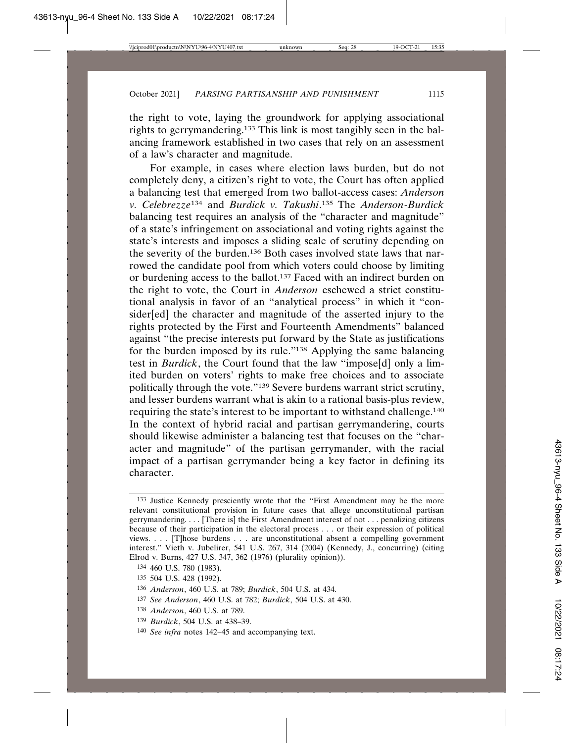the right to vote, laying the groundwork for applying associational rights to gerrymandering.133 This link is most tangibly seen in the balancing framework established in two cases that rely on an assessment of a law's character and magnitude.

For example, in cases where election laws burden, but do not completely deny, a citizen's right to vote, the Court has often applied a balancing test that emerged from two ballot-access cases: *Anderson v. Celebrezze*134 and *Burdick v. Takushi*. 135 The *Anderson*-*Burdick* balancing test requires an analysis of the "character and magnitude" of a state's infringement on associational and voting rights against the state's interests and imposes a sliding scale of scrutiny depending on the severity of the burden.136 Both cases involved state laws that narrowed the candidate pool from which voters could choose by limiting or burdening access to the ballot.137 Faced with an indirect burden on the right to vote, the Court in *Anderson* eschewed a strict constitutional analysis in favor of an "analytical process" in which it "consider[ed] the character and magnitude of the asserted injury to the rights protected by the First and Fourteenth Amendments" balanced against "the precise interests put forward by the State as justifications for the burden imposed by its rule."138 Applying the same balancing test in *Burdick*, the Court found that the law "impose[d] only a limited burden on voters' rights to make free choices and to associate politically through the vote."139 Severe burdens warrant strict scrutiny, and lesser burdens warrant what is akin to a rational basis-plus review, requiring the state's interest to be important to withstand challenge.140 In the context of hybrid racial and partisan gerrymandering, courts should likewise administer a balancing test that focuses on the "character and magnitude" of the partisan gerrymander, with the racial impact of a partisan gerrymander being a key factor in defining its character.

139 *Burdick*, 504 U.S. at 438–39.

<sup>133</sup> Justice Kennedy presciently wrote that the "First Amendment may be the more relevant constitutional provision in future cases that allege unconstitutional partisan gerrymandering. . . . [There is] the First Amendment interest of not . . . penalizing citizens because of their participation in the electoral process . . . or their expression of political views. . . . [T]hose burdens . . . are unconstitutional absent a compelling government interest." Vieth v. Jubelirer, 541 U.S. 267, 314 (2004) (Kennedy, J., concurring) (citing Elrod v. Burns, 427 U.S. 347, 362 (1976) (plurality opinion)).

<sup>134</sup> 460 U.S. 780 (1983).

<sup>135</sup> 504 U.S. 428 (1992).

<sup>136</sup> *Anderson*, 460 U.S. at 789; *Burdick*, 504 U.S. at 434.

<sup>137</sup> *See Anderson*, 460 U.S. at 782; *Burdick*, 504 U.S. at 430.

<sup>138</sup> *Anderson*, 460 U.S. at 789.

<sup>140</sup> *See infra* notes 142–45 and accompanying text.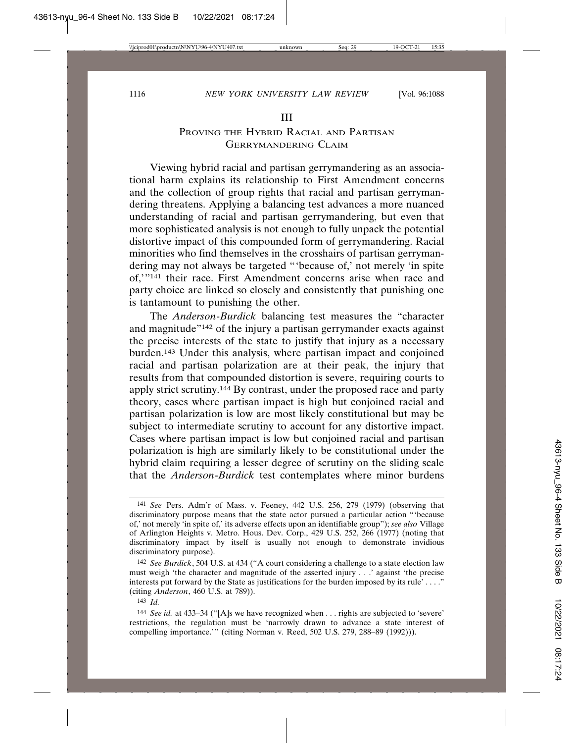#### III

# PROVING THE HYBRID RACIAL AND PARTISAN GERRYMANDERING CLAIM

Viewing hybrid racial and partisan gerrymandering as an associational harm explains its relationship to First Amendment concerns and the collection of group rights that racial and partisan gerrymandering threatens. Applying a balancing test advances a more nuanced understanding of racial and partisan gerrymandering, but even that more sophisticated analysis is not enough to fully unpack the potential distortive impact of this compounded form of gerrymandering. Racial minorities who find themselves in the crosshairs of partisan gerrymandering may not always be targeted "'because of,' not merely 'in spite of,'"141 their race. First Amendment concerns arise when race and party choice are linked so closely and consistently that punishing one is tantamount to punishing the other.

The *Anderson*-*Burdick* balancing test measures the "character and magnitude"142 of the injury a partisan gerrymander exacts against the precise interests of the state to justify that injury as a necessary burden.143 Under this analysis, where partisan impact and conjoined racial and partisan polarization are at their peak, the injury that results from that compounded distortion is severe, requiring courts to apply strict scrutiny.144 By contrast, under the proposed race and party theory, cases where partisan impact is high but conjoined racial and partisan polarization is low are most likely constitutional but may be subject to intermediate scrutiny to account for any distortive impact. Cases where partisan impact is low but conjoined racial and partisan polarization is high are similarly likely to be constitutional under the hybrid claim requiring a lesser degree of scrutiny on the sliding scale that the *Anderson*-*Burdick* test contemplates where minor burdens

<sup>141</sup> *See* Pers. Adm'r of Mass. v. Feeney, 442 U.S. 256, 279 (1979) (observing that discriminatory purpose means that the state actor pursued a particular action "'because of,' not merely 'in spite of,' its adverse effects upon an identifiable group"); *see also* Village of Arlington Heights v. Metro. Hous. Dev. Corp., 429 U.S. 252, 266 (1977) (noting that discriminatory impact by itself is usually not enough to demonstrate invidious discriminatory purpose).

<sup>142</sup> *See Burdick*, 504 U.S. at 434 ("A court considering a challenge to a state election law must weigh 'the character and magnitude of the asserted injury . . .' against 'the precise interests put forward by the State as justifications for the burden imposed by its rule' . . . ." (citing *Anderson*, 460 U.S. at 789)).

<sup>143</sup> *Id.*

<sup>144</sup> *See id.* at 433–34 ("[A]s we have recognized when . . . rights are subjected to 'severe' restrictions, the regulation must be 'narrowly drawn to advance a state interest of compelling importance.'" (citing Norman v. Reed, 502 U.S. 279, 288–89 (1992))).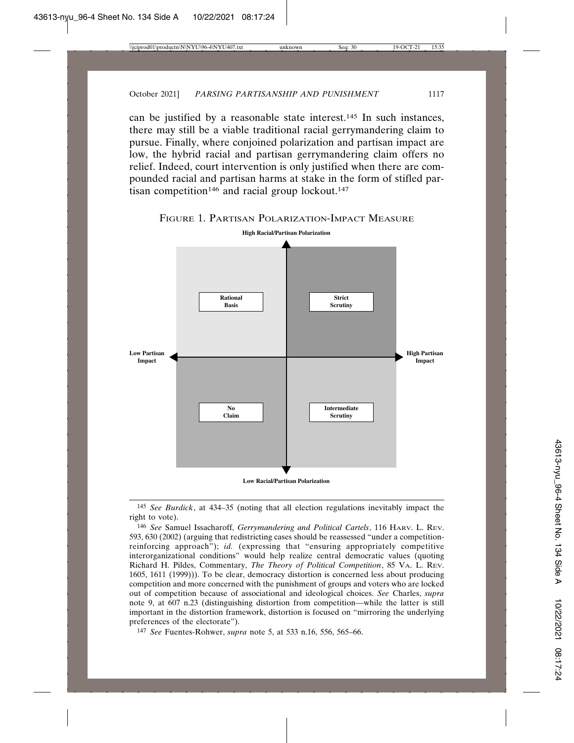can be justified by a reasonable state interest.145 In such instances, there may still be a viable traditional racial gerrymandering claim to pursue. Finally, where conjoined polarization and partisan impact are low, the hybrid racial and partisan gerrymandering claim offers no relief. Indeed, court intervention is only justified when there are compounded racial and partisan harms at stake in the form of stifled partisan competition<sup>146</sup> and racial group lockout.<sup>147</sup>





145 *See Burdick*, at 434–35 (noting that all election regulations inevitably impact the right to vote).

146 *See* Samuel Issacharoff, *Gerrymandering and Political Cartels*, 116 HARV. L. REV. 593, 630 (2002) (arguing that redistricting cases should be reassessed "under a competitionreinforcing approach"); *id.* (expressing that "ensuring appropriately competitive interorganizational conditions" would help realize central democratic values (quoting Richard H. Pildes, Commentary, *The Theory of Political Competition*, 85 VA. L. REV. 1605, 1611 (1999))). To be clear, democracy distortion is concerned less about producing competition and more concerned with the punishment of groups and voters who are locked out of competition because of associational and ideological choices. *See* Charles, *supra* note 9, at 607 n.23 (distinguishing distortion from competition—while the latter is still important in the distortion framework, distortion is focused on "mirroring the underlying preferences of the electorate").

147 *See* Fuentes-Rohwer, *supra* note 5, at 533 n.16, 556, 565–66.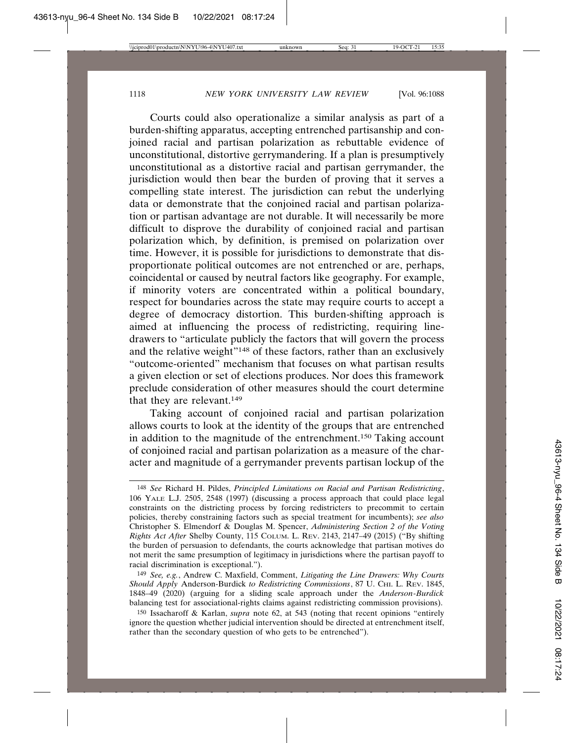Courts could also operationalize a similar analysis as part of a burden-shifting apparatus, accepting entrenched partisanship and conjoined racial and partisan polarization as rebuttable evidence of unconstitutional, distortive gerrymandering. If a plan is presumptively unconstitutional as a distortive racial and partisan gerrymander, the jurisdiction would then bear the burden of proving that it serves a compelling state interest. The jurisdiction can rebut the underlying data or demonstrate that the conjoined racial and partisan polarization or partisan advantage are not durable. It will necessarily be more difficult to disprove the durability of conjoined racial and partisan polarization which, by definition, is premised on polarization over time. However, it is possible for jurisdictions to demonstrate that disproportionate political outcomes are not entrenched or are, perhaps, coincidental or caused by neutral factors like geography. For example, if minority voters are concentrated within a political boundary, respect for boundaries across the state may require courts to accept a degree of democracy distortion. This burden-shifting approach is aimed at influencing the process of redistricting, requiring linedrawers to "articulate publicly the factors that will govern the process and the relative weight"<sup>148</sup> of these factors, rather than an exclusively "outcome-oriented" mechanism that focuses on what partisan results a given election or set of elections produces. Nor does this framework preclude consideration of other measures should the court determine that they are relevant.149

Taking account of conjoined racial and partisan polarization allows courts to look at the identity of the groups that are entrenched in addition to the magnitude of the entrenchment.150 Taking account of conjoined racial and partisan polarization as a measure of the character and magnitude of a gerrymander prevents partisan lockup of the

<sup>148</sup> *See* Richard H. Pildes, *Principled Limitations on Racial and Partisan Redistricting*, 106 YALE L.J. 2505, 2548 (1997) (discussing a process approach that could place legal constraints on the districting process by forcing redistricters to precommit to certain policies, thereby constraining factors such as special treatment for incumbents); *see also* Christopher S. Elmendorf & Douglas M. Spencer, *Administering Section 2 of the Voting Rights Act After* Shelby County, 115 COLUM. L. REV. 2143, 2147–49 (2015) ("By shifting the burden of persuasion to defendants, the courts acknowledge that partisan motives do not merit the same presumption of legitimacy in jurisdictions where the partisan payoff to racial discrimination is exceptional.").

<sup>149</sup> *See, e.g.*, Andrew C. Maxfield, Comment, *Litigating the Line Drawers: Why Courts Should Apply* Anderson-Burdick *to Redistricting Commissions*, 87 U. CHI. L. REV. 1845, 1848–49 (2020) (arguing for a sliding scale approach under the *Anderson*-*Burdick* balancing test for associational-rights claims against redistricting commission provisions).

<sup>150</sup> Issacharoff & Karlan, *supra* note 62, at 543 (noting that recent opinions "entirely ignore the question whether judicial intervention should be directed at entrenchment itself, rather than the secondary question of who gets to be entrenched").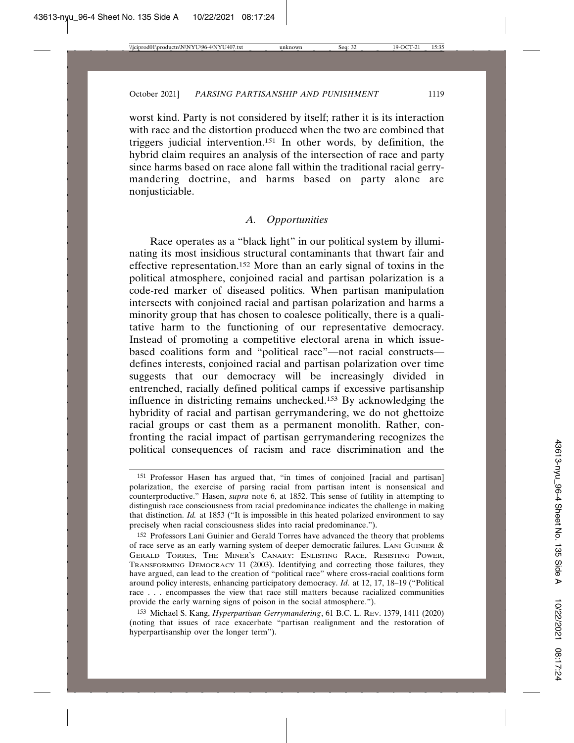worst kind. Party is not considered by itself; rather it is its interaction with race and the distortion produced when the two are combined that triggers judicial intervention.151 In other words, by definition, the hybrid claim requires an analysis of the intersection of race and party since harms based on race alone fall within the traditional racial gerrymandering doctrine, and harms based on party alone are nonjusticiable.

# *A. Opportunities*

Race operates as a "black light" in our political system by illuminating its most insidious structural contaminants that thwart fair and effective representation.152 More than an early signal of toxins in the political atmosphere, conjoined racial and partisan polarization is a code-red marker of diseased politics. When partisan manipulation intersects with conjoined racial and partisan polarization and harms a minority group that has chosen to coalesce politically, there is a qualitative harm to the functioning of our representative democracy. Instead of promoting a competitive electoral arena in which issuebased coalitions form and "political race"—not racial constructs defines interests, conjoined racial and partisan polarization over time suggests that our democracy will be increasingly divided in entrenched, racially defined political camps if excessive partisanship influence in districting remains unchecked.153 By acknowledging the hybridity of racial and partisan gerrymandering, we do not ghettoize racial groups or cast them as a permanent monolith. Rather, confronting the racial impact of partisan gerrymandering recognizes the political consequences of racism and race discrimination and the

<sup>151</sup> Professor Hasen has argued that, "in times of conjoined [racial and partisan] polarization, the exercise of parsing racial from partisan intent is nonsensical and counterproductive." Hasen, *supra* note 6, at 1852. This sense of futility in attempting to distinguish race consciousness from racial predominance indicates the challenge in making that distinction. *Id.* at 1853 ("It is impossible in this heated polarized environment to say precisely when racial consciousness slides into racial predominance.").

<sup>152</sup> Professors Lani Guinier and Gerald Torres have advanced the theory that problems of race serve as an early warning system of deeper democratic failures. LANI GUINIER & GERALD TORRES, THE MINER'S CANARY: ENLISTING RACE, RESISTING POWER, TRANSFORMING DEMOCRACY 11 (2003). Identifying and correcting those failures, they have argued, can lead to the creation of "political race" where cross-racial coalitions form around policy interests, enhancing participatory democracy. *Id.* at 12, 17, 18–19 ("Political race . . . encompasses the view that race still matters because racialized communities provide the early warning signs of poison in the social atmosphere.").

<sup>153</sup> Michael S. Kang, *Hyperpartisan Gerrymandering*, 61 B.C. L. REV. 1379, 1411 (2020) (noting that issues of race exacerbate "partisan realignment and the restoration of hyperpartisanship over the longer term").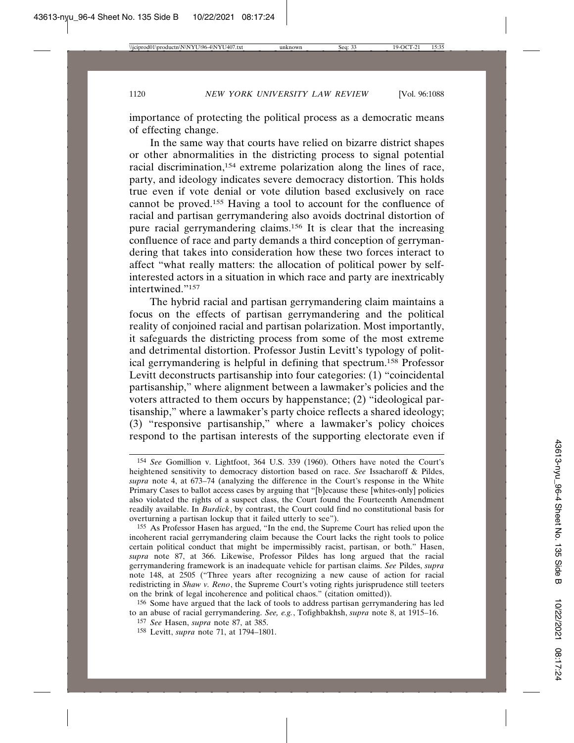importance of protecting the political process as a democratic means of effecting change.

In the same way that courts have relied on bizarre district shapes or other abnormalities in the districting process to signal potential racial discrimination,154 extreme polarization along the lines of race, party, and ideology indicates severe democracy distortion. This holds true even if vote denial or vote dilution based exclusively on race cannot be proved.155 Having a tool to account for the confluence of racial and partisan gerrymandering also avoids doctrinal distortion of pure racial gerrymandering claims.156 It is clear that the increasing confluence of race and party demands a third conception of gerrymandering that takes into consideration how these two forces interact to affect "what really matters: the allocation of political power by selfinterested actors in a situation in which race and party are inextricably intertwined."157

The hybrid racial and partisan gerrymandering claim maintains a focus on the effects of partisan gerrymandering and the political reality of conjoined racial and partisan polarization. Most importantly, it safeguards the districting process from some of the most extreme and detrimental distortion. Professor Justin Levitt's typology of political gerrymandering is helpful in defining that spectrum.158 Professor Levitt deconstructs partisanship into four categories: (1) "coincidental partisanship," where alignment between a lawmaker's policies and the voters attracted to them occurs by happenstance; (2) "ideological partisanship," where a lawmaker's party choice reflects a shared ideology; (3) "responsive partisanship," where a lawmaker's policy choices respond to the partisan interests of the supporting electorate even if

156 Some have argued that the lack of tools to address partisan gerrymandering has led to an abuse of racial gerrymandering. *See, e.g.*, Tofighbakhsh, *supra* note 8, at 1915–16.

<sup>154</sup> *See* Gomillion v. Lightfoot, 364 U.S. 339 (1960). Others have noted the Court's heightened sensitivity to democracy distortion based on race. *See* Issacharoff & Pildes, *supra* note 4, at 673–74 (analyzing the difference in the Court's response in the White Primary Cases to ballot access cases by arguing that "[b]ecause these [whites-only] policies also violated the rights of a suspect class, the Court found the Fourteenth Amendment readily available. In *Burdick*, by contrast, the Court could find no constitutional basis for overturning a partisan lockup that it failed utterly to see").

<sup>155</sup> As Professor Hasen has argued, "In the end, the Supreme Court has relied upon the incoherent racial gerrymandering claim because the Court lacks the right tools to police certain political conduct that might be impermissibly racist, partisan, or both." Hasen, *supra* note 87, at 366. Likewise, Professor Pildes has long argued that the racial gerrymandering framework is an inadequate vehicle for partisan claims. *See* Pildes, *supra* note 148, at 2505 ("Three years after recognizing a new cause of action for racial redistricting in *Shaw v. Reno*, the Supreme Court's voting rights jurisprudence still teeters on the brink of legal incoherence and political chaos." (citation omitted)).

<sup>157</sup> *See* Hasen, *supra* note 87, at 385.

<sup>158</sup> Levitt, *supra* note 71, at 1794–1801.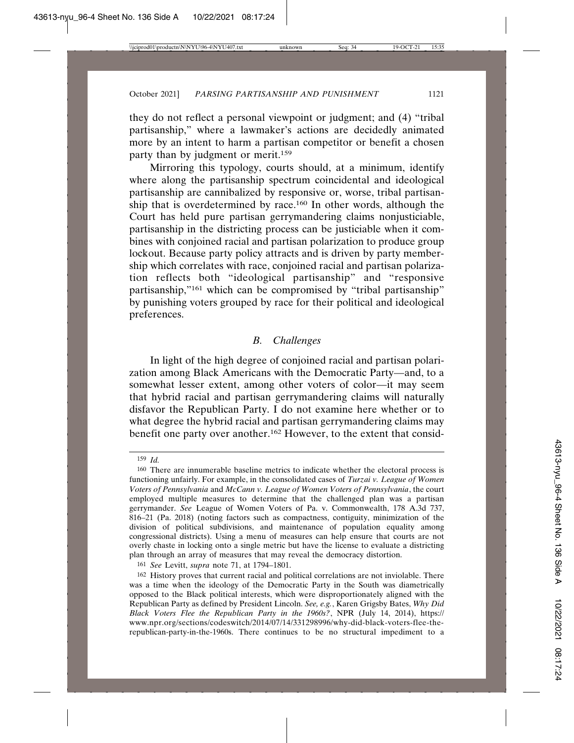they do not reflect a personal viewpoint or judgment; and (4) "tribal partisanship," where a lawmaker's actions are decidedly animated more by an intent to harm a partisan competitor or benefit a chosen party than by judgment or merit.159

Mirroring this typology, courts should, at a minimum, identify where along the partisanship spectrum coincidental and ideological partisanship are cannibalized by responsive or, worse, tribal partisanship that is overdetermined by race.160 In other words, although the Court has held pure partisan gerrymandering claims nonjusticiable, partisanship in the districting process can be justiciable when it combines with conjoined racial and partisan polarization to produce group lockout. Because party policy attracts and is driven by party membership which correlates with race, conjoined racial and partisan polarization reflects both "ideological partisanship" and "responsive partisanship,"161 which can be compromised by "tribal partisanship" by punishing voters grouped by race for their political and ideological preferences.

## *B. Challenges*

In light of the high degree of conjoined racial and partisan polarization among Black Americans with the Democratic Party—and, to a somewhat lesser extent, among other voters of color—it may seem that hybrid racial and partisan gerrymandering claims will naturally disfavor the Republican Party. I do not examine here whether or to what degree the hybrid racial and partisan gerrymandering claims may benefit one party over another.162 However, to the extent that consid-

161 *See* Levitt, *supra* note 71, at 1794–1801.

<sup>159</sup> *Id.*

<sup>160</sup> There are innumerable baseline metrics to indicate whether the electoral process is functioning unfairly. For example, in the consolidated cases of *Turzai v. League of Women Voters of Pennsylvania* and *McCann v. League of Women Voters of Pennsylvania*, the court employed multiple measures to determine that the challenged plan was a partisan gerrymander. *See* League of Women Voters of Pa. v. Commonwealth, 178 A.3d 737, 816–21 (Pa. 2018) (noting factors such as compactness, contiguity, minimization of the division of political subdivisions, and maintenance of population equality among congressional districts). Using a menu of measures can help ensure that courts are not overly chaste in locking onto a single metric but have the license to evaluate a districting plan through an array of measures that may reveal the democracy distortion.

<sup>162</sup> History proves that current racial and political correlations are not inviolable. There was a time when the ideology of the Democratic Party in the South was diametrically opposed to the Black political interests, which were disproportionately aligned with the Republican Party as defined by President Lincoln. *See, e.g.*, Karen Grigsby Bates, *Why Did Black Voters Flee the Republican Party in the 1960s?*, NPR (July 14, 2014), https:// www.npr.org/sections/codeswitch/2014/07/14/331298996/why-did-black-voters-flee-therepublican-party-in-the-1960s. There continues to be no structural impediment to a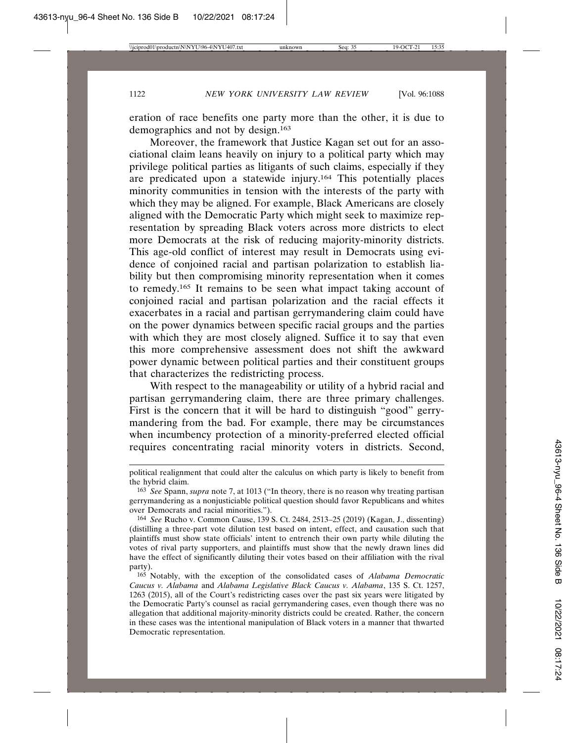eration of race benefits one party more than the other, it is due to demographics and not by design.163

Moreover, the framework that Justice Kagan set out for an associational claim leans heavily on injury to a political party which may privilege political parties as litigants of such claims, especially if they are predicated upon a statewide injury.164 This potentially places minority communities in tension with the interests of the party with which they may be aligned. For example, Black Americans are closely aligned with the Democratic Party which might seek to maximize representation by spreading Black voters across more districts to elect more Democrats at the risk of reducing majority-minority districts. This age-old conflict of interest may result in Democrats using evidence of conjoined racial and partisan polarization to establish liability but then compromising minority representation when it comes to remedy.165 It remains to be seen what impact taking account of conjoined racial and partisan polarization and the racial effects it exacerbates in a racial and partisan gerrymandering claim could have on the power dynamics between specific racial groups and the parties with which they are most closely aligned. Suffice it to say that even this more comprehensive assessment does not shift the awkward power dynamic between political parties and their constituent groups that characterizes the redistricting process.

With respect to the manageability or utility of a hybrid racial and partisan gerrymandering claim, there are three primary challenges. First is the concern that it will be hard to distinguish "good" gerrymandering from the bad. For example, there may be circumstances when incumbency protection of a minority-preferred elected official requires concentrating racial minority voters in districts. Second,

political realignment that could alter the calculus on which party is likely to benefit from the hybrid claim.

<sup>163</sup> *See* Spann, *supra* note 7, at 1013 ("In theory, there is no reason why treating partisan gerrymandering as a nonjusticiable political question should favor Republicans and whites over Democrats and racial minorities.").

<sup>164</sup> *See* Rucho v. Common Cause, 139 S. Ct. 2484, 2513–25 (2019) (Kagan, J., dissenting) (distilling a three-part vote dilution test based on intent, effect, and causation such that plaintiffs must show state officials' intent to entrench their own party while diluting the votes of rival party supporters, and plaintiffs must show that the newly drawn lines did have the effect of significantly diluting their votes based on their affiliation with the rival party).

<sup>165</sup> Notably, with the exception of the consolidated cases of *Alabama Democratic Caucus v. Alabama* and *Alabama Legislative Black Caucus v. Alabama*, 135 S. Ct. 1257, 1263 (2015), all of the Court's redistricting cases over the past six years were litigated by the Democratic Party's counsel as racial gerrymandering cases, even though there was no allegation that additional majority-minority districts could be created. Rather, the concern in these cases was the intentional manipulation of Black voters in a manner that thwarted Democratic representation.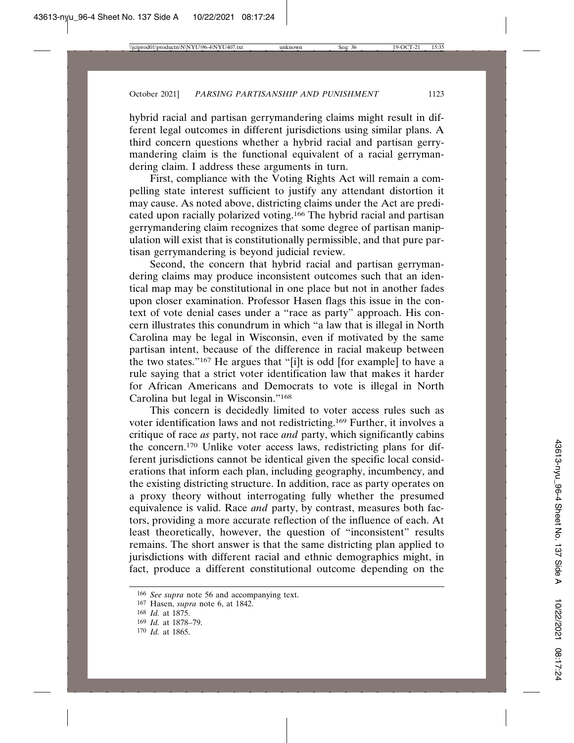hybrid racial and partisan gerrymandering claims might result in different legal outcomes in different jurisdictions using similar plans. A third concern questions whether a hybrid racial and partisan gerrymandering claim is the functional equivalent of a racial gerrymandering claim. I address these arguments in turn.

First, compliance with the Voting Rights Act will remain a compelling state interest sufficient to justify any attendant distortion it may cause. As noted above, districting claims under the Act are predicated upon racially polarized voting.<sup>166</sup> The hybrid racial and partisan gerrymandering claim recognizes that some degree of partisan manipulation will exist that is constitutionally permissible, and that pure partisan gerrymandering is beyond judicial review.

Second, the concern that hybrid racial and partisan gerrymandering claims may produce inconsistent outcomes such that an identical map may be constitutional in one place but not in another fades upon closer examination. Professor Hasen flags this issue in the context of vote denial cases under a "race as party" approach. His concern illustrates this conundrum in which "a law that is illegal in North Carolina may be legal in Wisconsin, even if motivated by the same partisan intent, because of the difference in racial makeup between the two states."167 He argues that "[i]t is odd [for example] to have a rule saying that a strict voter identification law that makes it harder for African Americans and Democrats to vote is illegal in North Carolina but legal in Wisconsin."168

This concern is decidedly limited to voter access rules such as voter identification laws and not redistricting.169 Further, it involves a critique of race *as* party, not race *and* party, which significantly cabins the concern.170 Unlike voter access laws, redistricting plans for different jurisdictions cannot be identical given the specific local considerations that inform each plan, including geography, incumbency, and the existing districting structure. In addition, race as party operates on a proxy theory without interrogating fully whether the presumed equivalence is valid. Race *and* party, by contrast, measures both factors, providing a more accurate reflection of the influence of each. At least theoretically, however, the question of "inconsistent" results remains. The short answer is that the same districting plan applied to jurisdictions with different racial and ethnic demographics might, in fact, produce a different constitutional outcome depending on the

<sup>166</sup> *See supra* note 56 and accompanying text.

<sup>167</sup> Hasen, *supra* note 6, at 1842.

<sup>168</sup> *Id.* at 1875.

<sup>169</sup> *Id.* at 1878–79.

<sup>170</sup> *Id.* at 1865.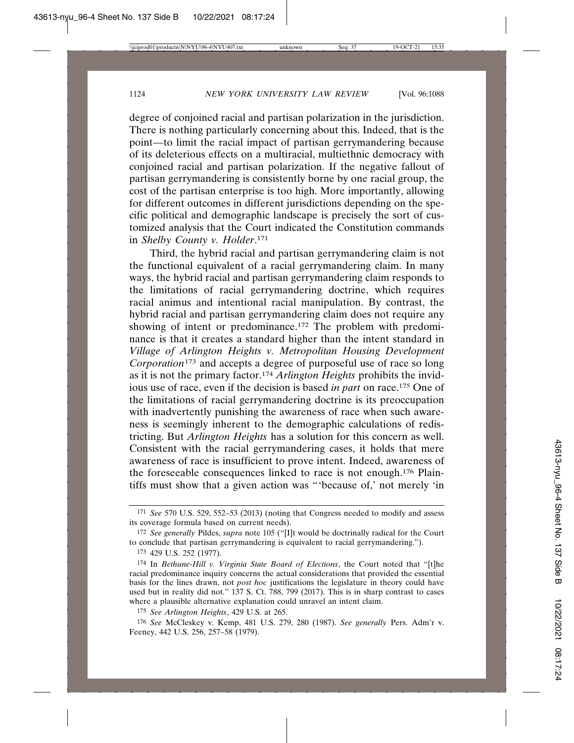degree of conjoined racial and partisan polarization in the jurisdiction. There is nothing particularly concerning about this. Indeed, that is the point—to limit the racial impact of partisan gerrymandering because of its deleterious effects on a multiracial, multiethnic democracy with conjoined racial and partisan polarization. If the negative fallout of partisan gerrymandering is consistently borne by one racial group, the cost of the partisan enterprise is too high. More importantly, allowing for different outcomes in different jurisdictions depending on the specific political and demographic landscape is precisely the sort of customized analysis that the Court indicated the Constitution commands in *Shelby County v. Holder*. 171

Third, the hybrid racial and partisan gerrymandering claim is not the functional equivalent of a racial gerrymandering claim. In many ways, the hybrid racial and partisan gerrymandering claim responds to the limitations of racial gerrymandering doctrine, which requires racial animus and intentional racial manipulation. By contrast, the hybrid racial and partisan gerrymandering claim does not require any showing of intent or predominance.<sup>172</sup> The problem with predominance is that it creates a standard higher than the intent standard in *Village of Arlington Heights v. Metropolitan Housing Development Corporation*173 and accepts a degree of purposeful use of race so long as it is not the primary factor.174 *Arlington Heights* prohibits the invidious use of race, even if the decision is based *in part* on race.175 One of the limitations of racial gerrymandering doctrine is its preoccupation with inadvertently punishing the awareness of race when such awareness is seemingly inherent to the demographic calculations of redistricting. But *Arlington Heights* has a solution for this concern as well. Consistent with the racial gerrymandering cases, it holds that mere awareness of race is insufficient to prove intent. Indeed, awareness of the foreseeable consequences linked to race is not enough.176 Plaintiffs must show that a given action was "'because of,' not merely 'in

<sup>171</sup> *See* 570 U.S. 529, 552–53 (2013) (noting that Congress needed to modify and assess its coverage formula based on current needs).

<sup>172</sup> *See generally* Pildes, *supra* note 105 ("[I]t would be doctrinally radical for the Court to conclude that partisan gerrymandering is equivalent to racial gerrymandering.").

<sup>173</sup> 429 U.S. 252 (1977).

<sup>174</sup> In *Bethune-Hill v. Virginia State Board of Elections*, the Court noted that "[t]he racial predominance inquiry concerns the actual considerations that provided the essential basis for the lines drawn, not *post hoc* justifications the legislature in theory could have used but in reality did not." 137 S. Ct. 788, 799 (2017). This is in sharp contrast to cases where a plausible alternative explanation could unravel an intent claim.

<sup>175</sup> *See Arlington Heights*, 429 U.S. at 265.

<sup>176</sup> *See* McCleskey v. Kemp, 481 U.S. 279, 280 (1987). *See generally* Pers. Adm'r v. Feeney, 442 U.S. 256, 257–58 (1979).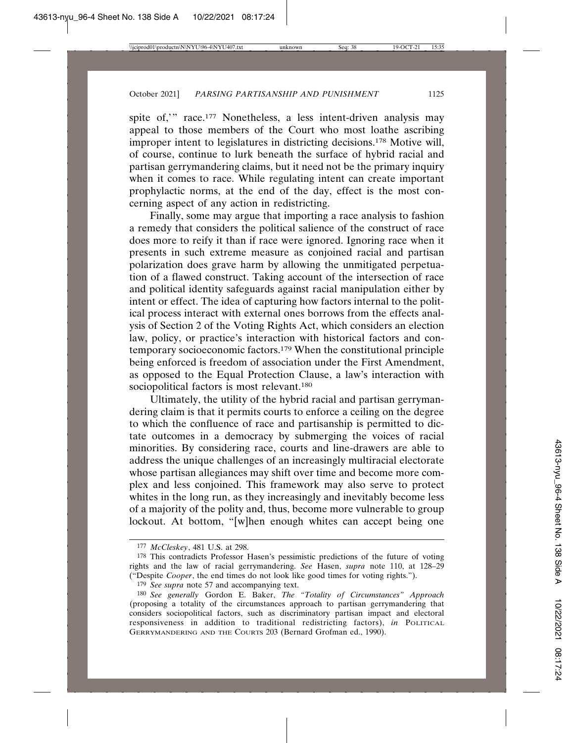spite of," race.<sup>177</sup> Nonetheless, a less intent-driven analysis may appeal to those members of the Court who most loathe ascribing improper intent to legislatures in districting decisions.<sup>178</sup> Motive will, of course, continue to lurk beneath the surface of hybrid racial and partisan gerrymandering claims, but it need not be the primary inquiry when it comes to race. While regulating intent can create important prophylactic norms, at the end of the day, effect is the most concerning aspect of any action in redistricting.

Finally, some may argue that importing a race analysis to fashion a remedy that considers the political salience of the construct of race does more to reify it than if race were ignored. Ignoring race when it presents in such extreme measure as conjoined racial and partisan polarization does grave harm by allowing the unmitigated perpetuation of a flawed construct. Taking account of the intersection of race and political identity safeguards against racial manipulation either by intent or effect. The idea of capturing how factors internal to the political process interact with external ones borrows from the effects analysis of Section 2 of the Voting Rights Act, which considers an election law, policy, or practice's interaction with historical factors and contemporary socioeconomic factors.179 When the constitutional principle being enforced is freedom of association under the First Amendment, as opposed to the Equal Protection Clause, a law's interaction with sociopolitical factors is most relevant.<sup>180</sup>

Ultimately, the utility of the hybrid racial and partisan gerrymandering claim is that it permits courts to enforce a ceiling on the degree to which the confluence of race and partisanship is permitted to dictate outcomes in a democracy by submerging the voices of racial minorities. By considering race, courts and line-drawers are able to address the unique challenges of an increasingly multiracial electorate whose partisan allegiances may shift over time and become more complex and less conjoined. This framework may also serve to protect whites in the long run, as they increasingly and inevitably become less of a majority of the polity and, thus, become more vulnerable to group lockout. At bottom, "[w]hen enough whites can accept being one

<sup>177</sup> *McCleskey*, 481 U.S. at 298.

<sup>178</sup> This contradicts Professor Hasen's pessimistic predictions of the future of voting rights and the law of racial gerrymandering. *See* Hasen, *supra* note 110, at 128–29 ("Despite *Cooper*, the end times do not look like good times for voting rights.").

<sup>&</sup>lt;sup>179</sup> *See supra* note 57 and accompanying text.

<sup>180</sup> *See generally* Gordon E. Baker, *The "Totality of Circumstances" Approach* (proposing a totality of the circumstances approach to partisan gerrymandering that considers sociopolitical factors, such as discriminatory partisan impact and electoral responsiveness in addition to traditional redistricting factors), *in* POLITICAL GERRYMANDERING AND THE COURTS 203 (Bernard Grofman ed., 1990).